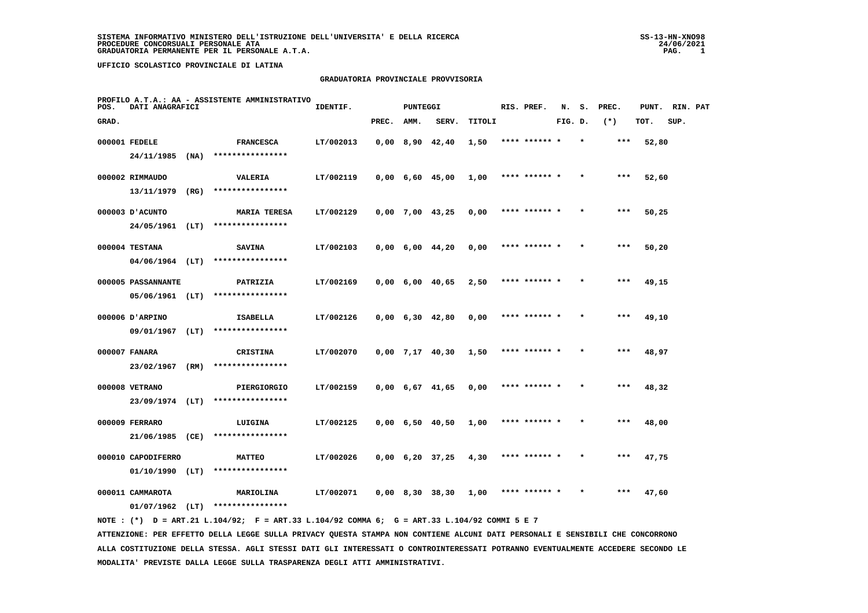#### **GRADUATORIA PROVINCIALE PROVVISORIA**

| POS.  | DATI ANAGRAFICI    |      | PROFILO A.T.A.: AA - ASSISTENTE AMMINISTRATIVO                                              | IDENTIF.  |       | <b>PUNTEGGI</b> |                               |        | RIS. PREF.    | N.      | s. | PREC. | PUNT. | RIN. PAT |  |
|-------|--------------------|------|---------------------------------------------------------------------------------------------|-----------|-------|-----------------|-------------------------------|--------|---------------|---------|----|-------|-------|----------|--|
| GRAD. |                    |      |                                                                                             |           | PREC. | AMM.            | SERV.                         | TITOLI |               | FIG. D. |    | $(*)$ | TOT.  | SUP.     |  |
|       | 000001 FEDELE      |      | <b>FRANCESCA</b>                                                                            | LT/002013 |       |                 | $0,00$ 8,90 42,40             | 1,50   | **** ****** * |         |    | $***$ | 52,80 |          |  |
|       | $24/11/1985$ (NA)  |      | ****************                                                                            |           |       |                 |                               |        |               |         |    |       |       |          |  |
|       | 000002 RIMMAUDO    |      | VALERIA                                                                                     | LT/002119 |       |                 | 0,00 6,60 45,00               | 1,00   | **** ****** * |         |    | ***   | 52,60 |          |  |
|       | 13/11/1979         | (RG) | ****************                                                                            |           |       |                 |                               |        |               |         |    |       |       |          |  |
|       | 000003 J'ACUNTO    |      | <b>MARIA TERESA</b>                                                                         | LT/002129 |       |                 | $0,00$ 7,00 43,25             | 0,00   | **** ****** * |         |    | $***$ | 50,25 |          |  |
|       | 24/05/1961 (LT)    |      | ****************                                                                            |           |       |                 |                               |        |               |         |    |       |       |          |  |
|       | 000004 TESTANA     |      | <b>SAVINA</b>                                                                               | LT/002103 |       |                 | $0,00 \quad 6,00 \quad 44,20$ | 0,00   |               |         |    |       | 50,20 |          |  |
|       | 04/06/1964 (LT)    |      | ****************                                                                            |           |       |                 |                               |        |               |         |    |       |       |          |  |
|       | 000005 PASSANNANTE |      | PATRIZIA                                                                                    | LT/002169 |       |                 | $0,00$ 6,00 40,65             | 2,50   | **** ****** * |         |    | $***$ | 49,15 |          |  |
|       |                    |      | $05/06/1961$ (LT) ****************                                                          |           |       |                 |                               |        |               |         |    |       |       |          |  |
|       | 000006 D'ARPINO    |      | <b>ISABELLA</b>                                                                             | LT/002126 |       |                 | $0,00 \quad 6,30 \quad 42,80$ | 0,00   | **** ****** * |         |    | $***$ | 49,10 |          |  |
|       | 09/01/1967 (LT)    |      | ****************                                                                            |           |       |                 |                               |        |               |         |    |       |       |          |  |
|       | 000007 FANARA      |      | <b>CRISTINA</b>                                                                             | LT/002070 |       |                 | $0,00$ 7,17 40,30             | 1,50   | **** ****** * |         |    | ***   | 48,97 |          |  |
|       | 23/02/1967 (RM)    |      | ****************                                                                            |           |       |                 |                               |        |               |         |    |       |       |          |  |
|       | 000008 VETRANO     |      | PIERGIORGIO                                                                                 | LT/002159 |       |                 | $0,00$ 6,67 41,65             | 0,00   | **** ****** * |         |    | ***   | 48,32 |          |  |
|       | 23/09/1974 (LT)    |      | ****************                                                                            |           |       |                 |                               |        |               |         |    |       |       |          |  |
|       | 000009 FERRARO     |      | LUIGINA                                                                                     | LT/002125 |       |                 | $0,00 \quad 6,50 \quad 40,50$ | 1,00   | **** ****** * |         |    | $***$ | 48,00 |          |  |
|       | 21/06/1985 (CE)    |      | ****************                                                                            |           |       |                 |                               |        |               |         |    |       |       |          |  |
|       | 000010 CAPODIFERRO |      | <b>MATTEO</b>                                                                               | LT/002026 |       |                 | $0,00 \quad 6,20 \quad 37,25$ | 4,30   | **** ****** * |         |    | ***   | 47,75 |          |  |
|       | $01/10/1990$ (LT)  |      | ****************                                                                            |           |       |                 |                               |        |               |         |    |       |       |          |  |
|       | 000011 CAMMAROTA   |      | <b>MARIOLINA</b>                                                                            | LT/002071 |       |                 | $0,00 \quad 8,30 \quad 38,30$ | 1,00   | **** ****** * |         |    | ***   | 47,60 |          |  |
|       |                    |      | $01/07/1962$ (LT) *****************                                                         |           |       |                 |                               |        |               |         |    |       |       |          |  |
|       |                    |      | NOTE: (*) D = ART.21 L.104/92; F = ART.33 L.104/92 COMMA 6; G = ART.33 L.104/92 COMMI 5 E 7 |           |       |                 |                               |        |               |         |    |       |       |          |  |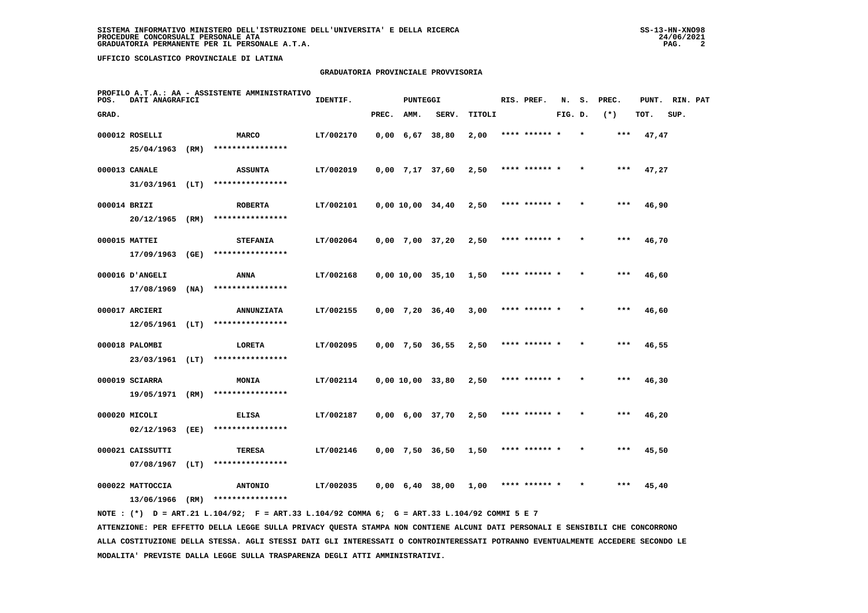# **GRADUATORIA PROVINCIALE PROVVISORIA**

| POS.  | DATI ANAGRAFICI                     |      | PROFILO A.T.A.: AA - ASSISTENTE AMMINISTRATIVO | IDENTIF.  |       | <b>PUNTEGGI</b>               |                               |        | RIS. PREF.    | N.      | s. | PREC. |       | PUNT. RIN. PAT |  |
|-------|-------------------------------------|------|------------------------------------------------|-----------|-------|-------------------------------|-------------------------------|--------|---------------|---------|----|-------|-------|----------------|--|
| GRAD. |                                     |      |                                                |           | PREC. | AMM.                          | SERV.                         | TITOLI |               | FIG. D. |    | $(*)$ | TOT.  | SUP.           |  |
|       | 000012 ROSELLI<br>25/04/1963 (RM)   |      | <b>MARCO</b><br>****************               | LT/002170 |       | $0,00$ 6,67 38,80             |                               | 2,00   | **** ****** * |         |    | $***$ | 47,47 |                |  |
|       | 000013 CANALE<br>$31/03/1961$ (LT)  |      | <b>ASSUNTA</b><br>****************             | LT/002019 |       | $0,00$ 7,17 37,60             |                               | 2,50   | **** ****** * |         |    | $***$ | 47,27 |                |  |
|       | 000014 BRIZI<br>20/12/1965          | (RM) | <b>ROBERTA</b><br>****************             | LT/002101 |       |                               | 0,00 10,00 34,40              | 2,50   | **** ****** * |         |    | $***$ | 46,90 |                |  |
|       | 000015 MATTEI<br>17/09/1963         | (GE) | <b>STEFANIA</b><br>****************            | LT/002064 |       | $0,00$ 7,00 37,20             |                               | 2,50   | **** ****** * |         |    | ***   | 46,70 |                |  |
|       | 000016 D'ANGELI<br>17/08/1969       | (NA) | ANNA<br>****************                       | LT/002168 |       |                               | 0,00 10,00 35,10              | 1,50   | **** ****** * |         |    | $***$ | 46,60 |                |  |
|       | 000017 ARCIERI<br>$12/05/1961$ (LT) |      | <b>ANNUNZIATA</b><br>****************          | LT/002155 |       | $0,00 \quad 7,20 \quad 36,40$ |                               | 3,00   | **** ****** * |         |    | ***   | 46,60 |                |  |
|       | 000018 PALOMBI<br>23/03/1961 (LT)   |      | LORETA<br>****************                     | LT/002095 |       |                               | 0,00 7,50 36,55               | 2,50   | **** ****** * |         |    | ***   | 46,55 |                |  |
|       | 000019 SCIARRA<br>19/05/1971 (RM)   |      | <b>MONIA</b><br>****************               | LT/002114 |       | $0,00$ $10,00$ $33,80$        |                               | 2,50   | **** ******   |         |    | ***   | 46,30 |                |  |
|       | 000020 MICOLI<br>02/12/1963         | (EE) | <b>ELISA</b><br>****************               | LT/002187 |       | $0,00 \quad 6,00 \quad 37,70$ |                               | 2,50   | **** ****** * |         |    | $***$ | 46,20 |                |  |
|       | 000021 CAISSUTTI<br>07/08/1967      | (LT) | TERESA<br>****************                     | LT/002146 |       | $0,00$ 7,50 36,50             |                               | 1,50   | **** ****** * |         |    | $***$ | 45,50 |                |  |
|       | 000022 MATTOCCIA<br>13/06/1966      | (RM) | <b>ANTONIO</b><br>****************             | LT/002035 |       |                               | $0,00 \quad 6,40 \quad 38,00$ | 1,00   | **** ****** * |         |    | ***   | 45,40 |                |  |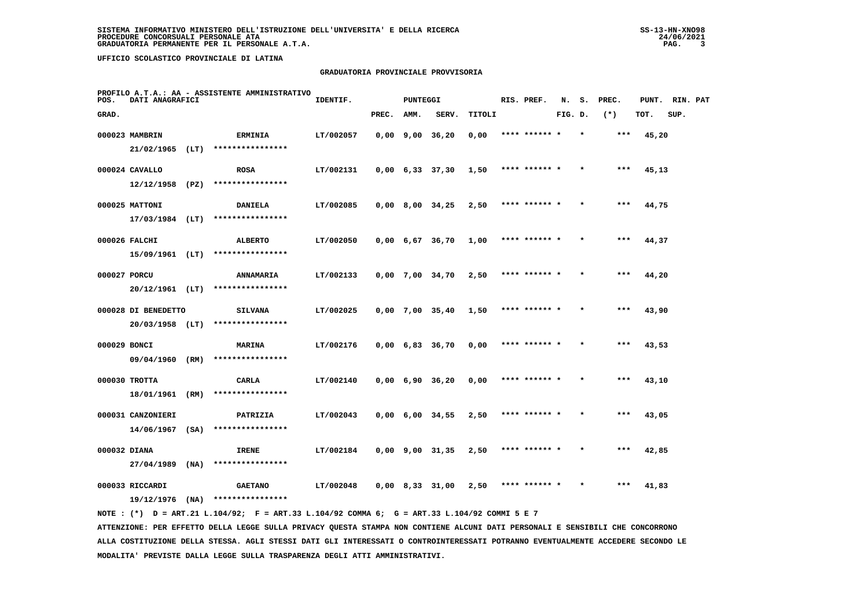# **GRADUATORIA PROVINCIALE PROVVISORIA**

| POS.         | DATI ANAGRAFICI                          |      | PROFILO A.T.A.: AA - ASSISTENTE AMMINISTRATIVO | IDENTIF.  |       | <b>PUNTEGGI</b>               |                               |        | RIS. PREF.    | N.      | s.      | PREC. | PUNT. RIN. PAT |      |  |
|--------------|------------------------------------------|------|------------------------------------------------|-----------|-------|-------------------------------|-------------------------------|--------|---------------|---------|---------|-------|----------------|------|--|
| GRAD.        |                                          |      |                                                |           | PREC. | AMM.                          | SERV.                         | TITOLI |               | FIG. D. |         | $(*)$ | TOT.           | SUP. |  |
|              | 000023 MAMBRIN<br>$21/02/1965$ (LT)      |      | <b>ERMINIA</b><br>****************             | LT/002057 |       | $0,00$ $9,00$ $36,20$         |                               | 0,00   | **** ****** * |         |         | $***$ | 45,20          |      |  |
|              | 000024 CAVALLO<br>$12/12/1958$ (PZ)      |      | <b>ROSA</b><br>****************                | LT/002131 |       |                               | $0,00 \quad 6,33 \quad 37,30$ | 1,50   | **** ****** * |         |         | ***   | 45,13          |      |  |
|              | 000025 MATTONI<br>$17/03/1984$ (LT)      |      | <b>DANIELA</b><br>****************             | LT/002085 |       |                               | $0,00$ 8,00 34,25             | 2,50   | **** ****** * |         |         | $***$ | 44,75          |      |  |
|              | 000026 FALCHI<br>$15/09/1961$ (LT)       |      | <b>ALBERTO</b><br>****************             | LT/002050 |       |                               | $0,00 \quad 6,67 \quad 36,70$ | 1,00   | **** ****** * |         |         | ***   | 44,37          |      |  |
| 000027 PORCU | $20/12/1961$ (LT)                        |      | <b>ANNAMARIA</b><br>****************           | LT/002133 |       | 0,00 7,00 34,70               |                               | 2,50   | **** ****** * |         |         | $***$ | 44,20          |      |  |
|              | 000028 DI BENEDETTO<br>$20/03/1958$ (LT) |      | <b>SILVANA</b><br>****************             | LT/002025 |       | $0,00$ 7,00 35,40             |                               | 1,50   | **** ****** * |         |         | $***$ | 43,90          |      |  |
| 000029 BONCI | 09/04/1960 (RM)                          |      | MARINA<br>****************                     | LT/002176 |       | $0,00 \quad 6,83 \quad 36,70$ |                               | 0.00   | **** ****** * |         |         | $***$ | 43,53          |      |  |
|              | $000030$ TROTTA<br>18/01/1961 (RM)       |      | CARLA<br>****************                      | LT/002140 |       | $0,00 \quad 6,90 \quad 36,20$ |                               | 0,00   | **** ****** * |         |         | ***   | 43,10          |      |  |
|              | 000031 CANZONIERI<br>$14/06/1967$ (SA)   |      | PATRIZIA<br>****************                   | LT/002043 |       | $0,00 \quad 6,00 \quad 34,55$ |                               | 2,50   | **** ******   |         |         | ***   | 43,05          |      |  |
| 000032 DIANA | 27/04/1989                               | (NA) | <b>IRENE</b><br>****************               | LT/002184 |       |                               | $0,00$ $9,00$ $31,35$         | 2,50   | **** ****** * |         |         | ***   | 42,85          |      |  |
|              | 000033 RICCARDI<br>19/12/1976            | (NA) | <b>GAETANO</b><br>****************             | LT/002048 |       |                               | $0,00$ 8,33 31,00             | 2,50   | **** ****** * |         | $\star$ | ***   | 41,83          |      |  |
|              |                                          |      |                                                |           |       |                               |                               |        |               |         |         |       |                |      |  |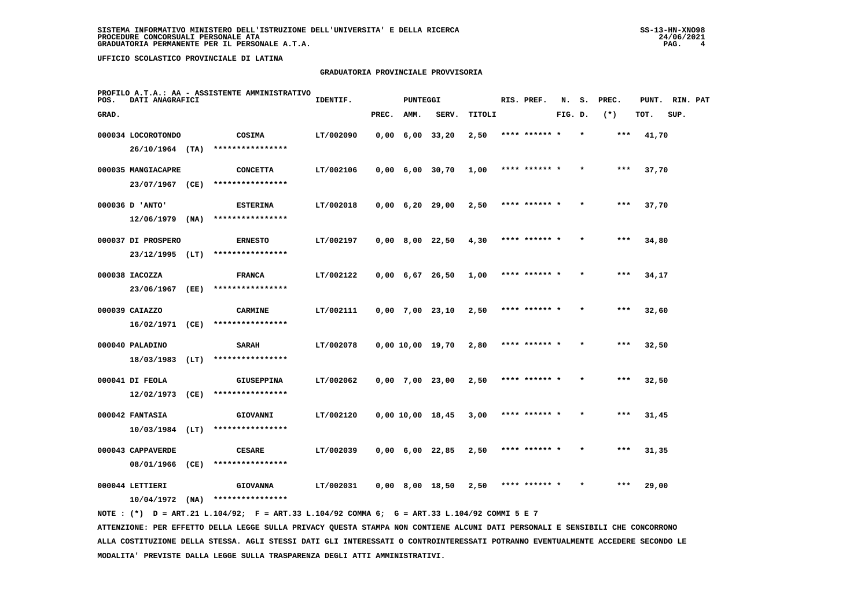# **GRADUATORIA PROVINCIALE PROVVISORIA**

| POS.  | DATI ANAGRAFICI    |      | PROFILO A.T.A.: AA - ASSISTENTE AMMINISTRATIVO | IDENTIF.  |       | <b>PUNTEGGI</b>   |                               |        | RIS. PREF.    | N.      | s.      | PREC.  | PUNT. | RIN. PAT |  |
|-------|--------------------|------|------------------------------------------------|-----------|-------|-------------------|-------------------------------|--------|---------------|---------|---------|--------|-------|----------|--|
| GRAD. |                    |      |                                                |           | PREC. | AMM.              | SERV.                         | TITOLI |               | FIG. D. |         | $(* )$ | TOT.  | SUP.     |  |
|       | 000034 LOCOROTONDO |      | COSIMA                                         | LT/002090 |       | $0,00$ 6,00 33,20 |                               | 2,50   |               |         |         |        | 41,70 |          |  |
|       | $26/10/1964$ (TA)  |      | ****************                               |           |       |                   |                               |        |               |         |         |        |       |          |  |
|       | 000035 MANGIACAPRE |      | <b>CONCETTA</b>                                | LT/002106 |       |                   | $0,00 \quad 6,00 \quad 30,70$ | 1,00   | **** ****** * |         |         | $***$  | 37,70 |          |  |
|       | 23/07/1967 (CE)    |      | ****************                               |           |       |                   |                               |        |               |         |         |        |       |          |  |
|       | 000036 D 'ANTO'    |      | <b>ESTERINA</b>                                | LT/002018 |       |                   | $0,00 \quad 6,20 \quad 29,00$ | 2,50   | **** ****** * |         | $\star$ | ***    | 37,70 |          |  |
|       | 12/06/1979         | (NA) | ****************                               |           |       |                   |                               |        |               |         |         |        |       |          |  |
|       | 000037 DI PROSPERO |      | <b>ERNESTO</b>                                 | LT/002197 |       |                   | $0,00$ 8,00 22,50             | 4,30   | **** ****** * |         |         | $***$  | 34,80 |          |  |
|       | 23/12/1995 (LT)    |      | ****************                               |           |       |                   |                               |        |               |         |         |        |       |          |  |
|       | 000038 IACOZZA     |      | <b>FRANCA</b>                                  | LT/002122 |       |                   | $0,00$ 6,67 26,50             | 1,00   | **** ****** * |         |         | $***$  | 34,17 |          |  |
|       | 23/06/1967         | (EE) | ****************                               |           |       |                   |                               |        |               |         |         |        |       |          |  |
|       | 000039 CAIAZZO     |      | <b>CARMINE</b>                                 | LT/002111 |       |                   | $0,00$ 7,00 23,10             | 2,50   | **** ****** * |         |         | $***$  | 32,60 |          |  |
|       | 16/02/1971 (CE)    |      | ****************                               |           |       |                   |                               |        |               |         |         |        |       |          |  |
|       | 000040 PALADINO    |      | <b>SARAH</b>                                   | LT/002078 |       |                   | 0,00 10,00 19,70              | 2,80   | **** ****** * |         |         | ***    | 32,50 |          |  |
|       | 18/03/1983         | (LT) | ****************                               |           |       |                   |                               |        |               |         |         |        |       |          |  |
|       | 000041 DI FEOLA    |      | <b>GIUSEPPINA</b>                              | LT/002062 |       |                   | $0,00$ 7,00 23,00             | 2,50   | **** ****** * |         |         | ***    | 32,50 |          |  |
|       | 12/02/1973         | (CE) | ****************                               |           |       |                   |                               |        |               |         |         |        |       |          |  |
|       | 000042 FANTASIA    |      | GIOVANNI                                       | LT/002120 |       |                   | $0,00$ 10,00 18,45            | 3,00   | **** ****** * |         |         | $***$  | 31,45 |          |  |
|       | 10/03/1984         | (LT) | ****************                               |           |       |                   |                               |        |               |         |         |        |       |          |  |
|       | 000043 CAPPAVERDE  |      | <b>CESARE</b>                                  | LT/002039 |       | $0,00$ 6,00 22,85 |                               | 2,50   | **** ****** * |         |         | $***$  | 31,35 |          |  |
|       | 08/01/1966         | (CE) | ****************                               |           |       |                   |                               |        |               |         |         |        |       |          |  |
|       | 000044 LETTIERI    |      | <b>GIOVANNA</b>                                | LT/002031 |       |                   | $0,00$ 8,00 18,50             | 2,50   | **** ****** * |         |         | ***    | 29,00 |          |  |
|       | 10/04/1972         | (NA) | ****************                               |           |       |                   |                               |        |               |         |         |        |       |          |  |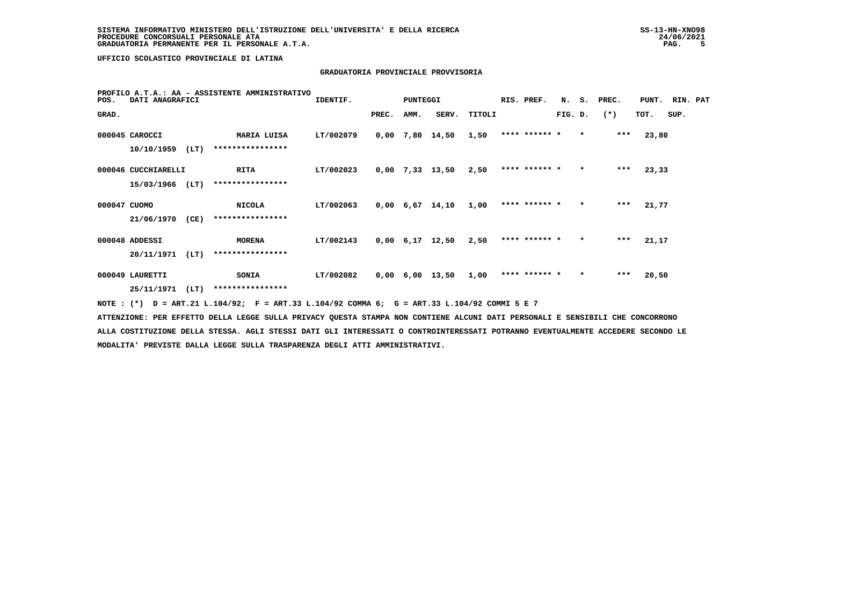# **GRADUATORIA PROVINCIALE PROVVISORIA**

| POS.         | DATI ANAGRAFICI     |      | PROFILO A.T.A.: AA - ASSISTENTE AMMINISTRATIVO                                              | IDENTIF.  |       | <b>PUNTEGGI</b> |                               |        | RIS. PREF.    |         |         | N. S. PREC. | PUNT. RIN. PAT |      |  |
|--------------|---------------------|------|---------------------------------------------------------------------------------------------|-----------|-------|-----------------|-------------------------------|--------|---------------|---------|---------|-------------|----------------|------|--|
| GRAD.        |                     |      |                                                                                             |           | PREC. | AMM.            | SERV.                         | TITOLI |               | FIG. D. |         | $(* )$      | TOT.           | SUP. |  |
|              | 000045 CAROCCI      |      | MARIA LUISA                                                                                 | LT/002079 |       |                 | 0,00 7,80 14,50               | 1,50   | **** ****** * |         | $\star$ | $***$       | 23,80          |      |  |
|              | 10/10/1959          | (LT) | ****************                                                                            |           |       |                 |                               |        |               |         |         |             |                |      |  |
|              | 000046 CUCCHIARELLI |      | RITA                                                                                        | LT/002023 |       |                 | $0,00$ 7,33 13,50             | 2,50   | **** ****** * |         | $\star$ | ***         | 23,33          |      |  |
|              | $15/03/1966$ (LT)   |      | ****************                                                                            |           |       |                 |                               |        |               |         |         |             |                |      |  |
| 000047 CUOMO |                     |      | <b>NICOLA</b>                                                                               | LT/002063 |       |                 | 0,00 6,67 14,10               | 1,00   | **** ****** * |         | $\star$ | $***$       | 21,77          |      |  |
|              | 21/06/1970          | (CE) | ****************                                                                            |           |       |                 |                               |        |               |         |         |             |                |      |  |
|              | 000048 ADDESSI      |      | <b>MORENA</b>                                                                               | LT/002143 |       |                 | $0,00 \quad 6,17 \quad 12,50$ | 2,50   | **** ****** * |         | $\star$ | $***$       | 21,17          |      |  |
|              | 20/11/1971          | (LT) | ****************                                                                            |           |       |                 |                               |        |               |         |         |             |                |      |  |
|              | 000049 LAURETTI     |      | <b>SONIA</b>                                                                                | LT/002082 |       |                 | 0,00 6,00 13,50               | 1,00   | **** ****** * |         | $\star$ | $***$       | 20,50          |      |  |
|              | 25/11/1971          | (LT) | ****************                                                                            |           |       |                 |                               |        |               |         |         |             |                |      |  |
|              |                     |      | NOTE: (*) D = ART.21 L.104/92; F = ART.33 L.104/92 COMMA 6; G = ART.33 L.104/92 COMMI 5 E 7 |           |       |                 |                               |        |               |         |         |             |                |      |  |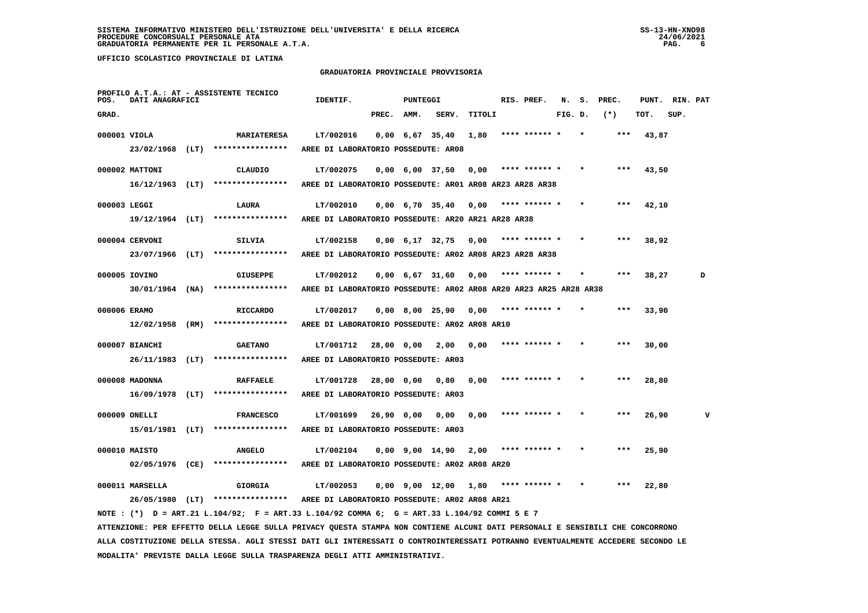#### **GRADUATORIA PROVINCIALE PROVVISORIA**

| POS.         | DATI ANAGRAFICI   | PROFILO A.T.A.: AT - ASSISTENTE TECNICO                                                                                         | <b>IDENTIF.</b>                                                   |            | PUNTEGGI     |                               |               | RIS. PREF.    | N. S.   | PREC. | PUNT. | RIN. PAT |   |
|--------------|-------------------|---------------------------------------------------------------------------------------------------------------------------------|-------------------------------------------------------------------|------------|--------------|-------------------------------|---------------|---------------|---------|-------|-------|----------|---|
| GRAD.        |                   |                                                                                                                                 |                                                                   | PREC. AMM. |              | SERV.                         | <b>TITOLI</b> |               | FIG. D. | $(*)$ | тот.  | SUP.     |   |
| 000001 VIOLA |                   | <b>MARIATERESA</b>                                                                                                              | LT/002016                                                         |            |              | $0,00 \quad 6,67 \quad 35,40$ | 1,80          | **** ****** * |         | ***   | 43,87 |          |   |
|              |                   | 23/02/1968 (LT) ****************                                                                                                | AREE DI LABORATORIO POSSEDUTE: AR08                               |            |              |                               |               |               |         |       |       |          |   |
|              |                   |                                                                                                                                 |                                                                   |            |              |                               |               |               |         |       |       |          |   |
|              | 000002 MATTONI    | CLAUDIO                                                                                                                         | LT/002075                                                         |            |              | $0,00$ 6,00 37,50             | 0,00          |               |         |       | 43,50 |          |   |
|              |                   | 16/12/1963 (LT) ****************                                                                                                | AREE DI LABORATORIO POSSEDUTE: AR01 AR08 AR23 AR28 AR38           |            |              |                               |               |               |         |       |       |          |   |
| 000003 LEGGI |                   | LAURA                                                                                                                           | LT/002010                                                         |            |              | $0,00 \quad 6,70 \quad 35,40$ | 0,00          | **** ****** * |         |       | 42,10 |          |   |
|              |                   | $19/12/1964$ (LT) *****************                                                                                             | AREE DI LABORATORIO POSSEDUTE: AR20 AR21 AR28 AR38                |            |              |                               |               |               |         |       |       |          |   |
|              | 000004 CERVONI    | <b>SILVIA</b>                                                                                                                   | LT/002158                                                         |            |              | $0,00 \quad 6,17 \quad 32,75$ | 0,00          | **** ****** * |         |       | 38,92 |          |   |
|              | 23/07/1966 (LT)   | ****************                                                                                                                | AREE DI LABORATORIO POSSEDUTE: AR02 AR08 AR23 AR28 AR38           |            |              |                               |               |               |         |       |       |          |   |
|              |                   |                                                                                                                                 |                                                                   |            |              |                               |               |               |         |       |       |          |   |
|              | 000005 IOVINO     | <b>GIUSEPPE</b>                                                                                                                 | LT/002012                                                         |            |              | $0,00$ 6,67 31,60             | 0,00          | **** ****** * |         | ***   | 38,27 |          | D |
|              | $30/01/1964$ (NA) | ****************                                                                                                                | AREE DI LABORATORIO POSSEDUTE: AR02 AR08 AR20 AR23 AR25 AR28 AR38 |            |              |                               |               |               |         |       |       |          |   |
| 000006 ERAMO |                   | <b>RICCARDO</b>                                                                                                                 | LT/002017                                                         |            |              | $0,00$ 8,00 25,90             | 0,00          | **** ****** * |         | ***   | 33,90 |          |   |
|              | 12/02/1958 (RM)   | ****************                                                                                                                | AREE DI LABORATORIO POSSEDUTE: AR02 AR08 AR10                     |            |              |                               |               |               |         |       |       |          |   |
|              | 000007 BIANCHI    | <b>GAETANO</b>                                                                                                                  | LT/001712                                                         |            | 28,00 0,00   | 2,00                          | 0,00          |               |         |       | 30,00 |          |   |
|              |                   | 26/11/1983 (LT) ****************                                                                                                | AREE DI LABORATORIO POSSEDUTE: AR03                               |            |              |                               |               |               |         |       |       |          |   |
|              |                   |                                                                                                                                 |                                                                   |            |              |                               |               |               |         |       |       |          |   |
|              | 000008 MADONNA    | <b>RAFFAELE</b>                                                                                                                 | LT/001728                                                         |            | 28,00 0,00   | 0,80                          | 0,00          |               |         |       | 28,80 |          |   |
|              | $16/09/1978$ (LT) | ****************                                                                                                                | AREE DI LABORATORIO POSSEDUTE: AR03                               |            |              |                               |               |               |         |       |       |          |   |
|              | 000009 ONELLI     | <b>FRANCESCO</b>                                                                                                                | LT/001699                                                         |            | $26,90$ 0,00 | 0,00                          | 0,00          |               |         |       | 26,90 |          | v |
|              |                   | 15/01/1981 (LT) ****************                                                                                                | AREE DI LABORATORIO POSSEDUTE: AR03                               |            |              |                               |               |               |         |       |       |          |   |
|              | 000010 MAISTO     | <b>ANGELO</b>                                                                                                                   | LT/002104                                                         |            |              | $0,00$ 9,00 14,90             | 2,00          | **** ****** * |         |       | 25,90 |          |   |
|              |                   | 02/05/1976 (CE) ****************                                                                                                | AREE DI LABORATORIO POSSEDUTE: AR02 AR08 AR20                     |            |              |                               |               |               |         |       |       |          |   |
|              |                   |                                                                                                                                 |                                                                   |            |              |                               |               |               |         |       |       |          |   |
|              | 000011 MARSELLA   | <b>GIORGIA</b>                                                                                                                  | LT/002053                                                         |            |              | $0,00$ $9,00$ $12,00$         | 1,80          | **** ****** * |         |       | 22,80 |          |   |
|              |                   | 26/05/1980 (LT) **************** AREE DI LABORATORIO POSSEDUTE: AR02 AR08 AR21                                                  |                                                                   |            |              |                               |               |               |         |       |       |          |   |
|              |                   | NOTE: (*) D = ART.21 L.104/92; F = ART.33 L.104/92 COMMA 6; G = ART.33 L.104/92 COMMI 5 E 7                                     |                                                                   |            |              |                               |               |               |         |       |       |          |   |
|              |                   | ATTENZIONE: PER EFFETTO DELLA LEGGE SULLA PRIVACY QUESTA STAMPA NON CONTIENE ALCUNI DATI PERSONALI E SENSIBILI CHE CONCORRONO   |                                                                   |            |              |                               |               |               |         |       |       |          |   |
|              |                   | ALLA COSTITUZIONE DELLA STESSA. AGLI STESSI DATI GLI INTERESSATI O CONTROINTERESSATI POTRANNO EVENTUALMENTE ACCEDERE SECONDO LE |                                                                   |            |              |                               |               |               |         |       |       |          |   |
|              |                   | MODALITA' PREVISTE DALLA LEGGE SULLA TRASPARENZA DEGLI ATTI AMMINISTRATIVI.                                                     |                                                                   |            |              |                               |               |               |         |       |       |          |   |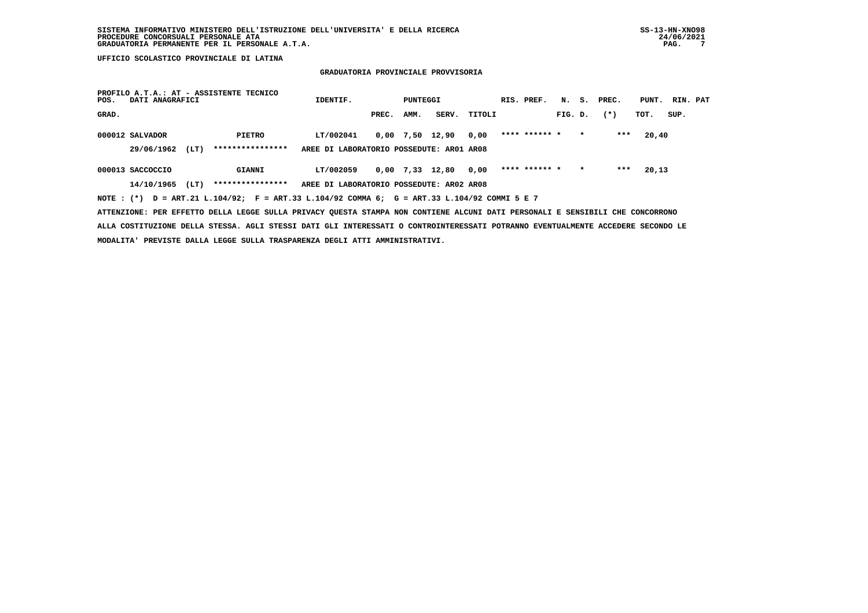#### **GRADUATORIA PROVINCIALE PROVVISORIA**

| POS.  | PROFILO A.T.A.: AT - ASSISTENTE TECNICO<br>DATI ANAGRAFICI |                                                                                                                                 | IDENTIF.                                 |       | PUNTEGGI |                 |              | RIS. PREF.    |         |         | N. S. PREC. | PUNT. RIN. PAT |      |  |
|-------|------------------------------------------------------------|---------------------------------------------------------------------------------------------------------------------------------|------------------------------------------|-------|----------|-----------------|--------------|---------------|---------|---------|-------------|----------------|------|--|
| GRAD. |                                                            |                                                                                                                                 |                                          | PREC. | AMM.     |                 | SERV. TITOLI |               | FIG. D. |         | $(*)$       | тот.           | SUP. |  |
|       | 000012 SALVADOR                                            | PIETRO                                                                                                                          | LT/002041                                |       |          | 0,00 7,50 12,90 | 0,00         | **** ****** * |         | $\star$ | ***         | 20,40          |      |  |
|       | 29/06/1962<br>(LT)                                         | ****************                                                                                                                | AREE DI LABORATORIO POSSEDUTE: AR01 AR08 |       |          |                 |              |               |         |         |             |                |      |  |
|       | 000013 SACCOCCIO                                           | <b>GIANNI</b>                                                                                                                   | LT/002059                                |       |          | 0,00 7,33 12,80 | 0,00         | **** ****** * |         | $\star$ | ***         | 20,13          |      |  |
|       | (LT)<br>14/10/1965                                         | ****************                                                                                                                | AREE DI LABORATORIO POSSEDUTE: AR02 AR08 |       |          |                 |              |               |         |         |             |                |      |  |
|       |                                                            | NOTE: (*) D = ART.21 L.104/92; F = ART.33 L.104/92 COMMA 6; G = ART.33 L.104/92 COMMI 5 E 7                                     |                                          |       |          |                 |              |               |         |         |             |                |      |  |
|       |                                                            | ATTENZIONE: PER EFFETTO DELLA LEGGE SULLA PRIVACY OUESTA STAMPA NON CONTIENE ALCUNI DATI PERSONALI E SENSIBILI CHE CONCORRONO   |                                          |       |          |                 |              |               |         |         |             |                |      |  |
|       |                                                            | ALLA COSTITUZIONE DELLA STESSA. AGLI STESSI DATI GLI INTERESSATI O CONTROINTERESSATI POTRANNO EVENTUALMENTE ACCEDERE SECONDO LE |                                          |       |          |                 |              |               |         |         |             |                |      |  |

 **MODALITA' PREVISTE DALLA LEGGE SULLA TRASPARENZA DEGLI ATTI AMMINISTRATIVI.**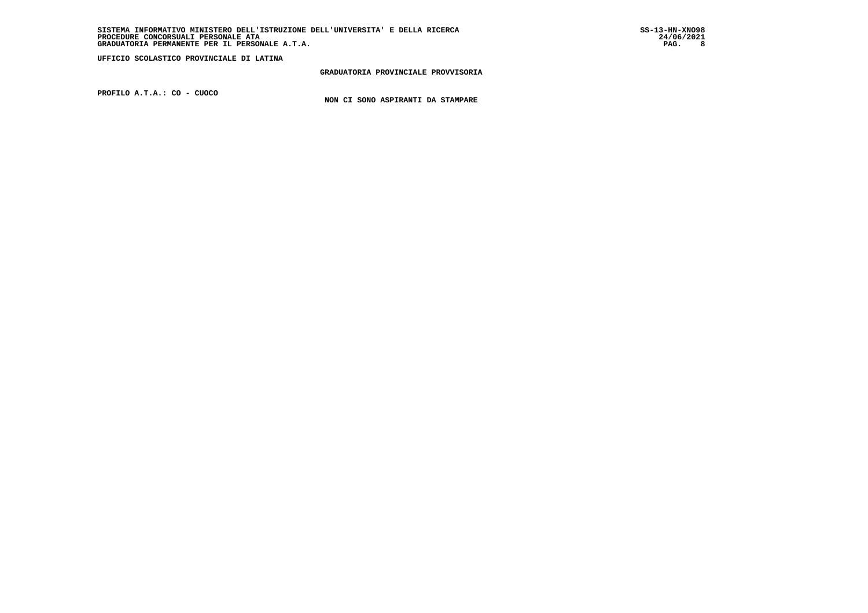**GRADUATORIA PROVINCIALE PROVVISORIA**

 **PROFILO A.T.A.: CO - CUOCO**

 **NON CI SONO ASPIRANTI DA STAMPARE**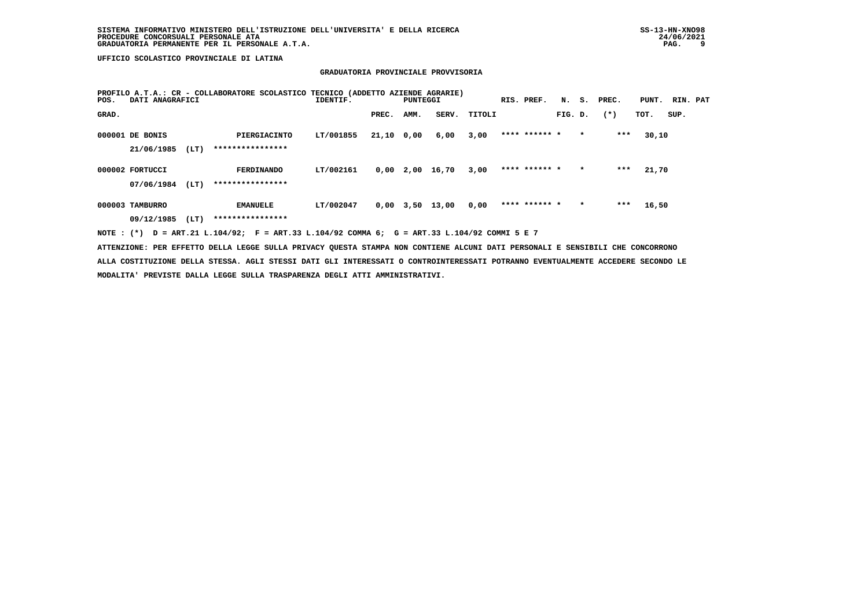#### **GRADUATORIA PROVINCIALE PROVVISORIA**

| POS.  | DATI ANAGRAFICI |      | PROFILO A.T.A.: CR - COLLABORATORE SCOLASTICO | TECNICO (ADDETTO AZIENDE AGRARIE)<br>IDENTIF. |              | PUNTEGGI    |       |        | RIS. PREF.    | N.      | s.      | PREC.  | PUNT. | RIN. PAT |  |
|-------|-----------------|------|-----------------------------------------------|-----------------------------------------------|--------------|-------------|-------|--------|---------------|---------|---------|--------|-------|----------|--|
| GRAD. |                 |      |                                               |                                               | PREC.        | AMM.        | SERV. | TITOLI |               | FIG. D. |         | $(* )$ | TOT.  | SUP.     |  |
|       | 000001 DE BONIS |      | PIERGIACINTO                                  | LT/001855                                     | $21,10$ 0,00 |             | 6,00  | 3,00   | **** ****** * |         | $\star$ | $***$  | 30,10 |          |  |
|       | 21/06/1985      | (LT) | ****************                              |                                               |              |             |       |        |               |         |         |        |       |          |  |
|       | 000002 FORTUCCI |      | <b>FERDINANDO</b>                             | LT/002161                                     |              | $0,00$ 2,00 | 16,70 | 3,00   | **** ****** * |         | $\star$ | ***    | 21,70 |          |  |
|       | 07/06/1984      | (LT) | ****************                              |                                               |              |             |       |        |               |         |         |        |       |          |  |
|       | 000003 TAMBURRO |      | <b>EMANUELE</b>                               | LT/002047                                     | 0,00         | 3,50        | 13,00 | 0,00   | **** ****** * |         | $\star$ | $***$  | 16,50 |          |  |
|       | 09/12/1985      | (LT) | ****************                              |                                               |              |             |       |        |               |         |         |        |       |          |  |

 **NOTE : (\*) D = ART.21 L.104/92; F = ART.33 L.104/92 COMMA 6; G = ART.33 L.104/92 COMMI 5 E 7**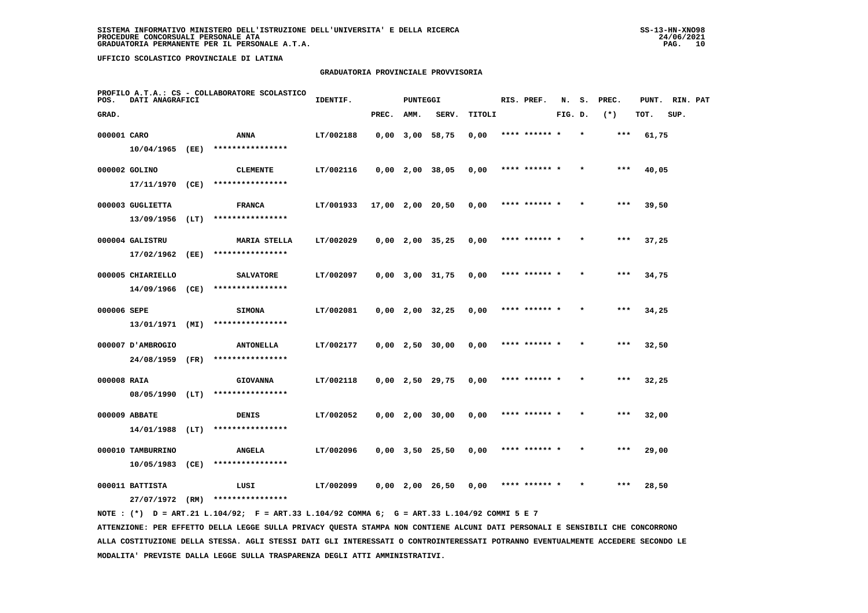# **GRADUATORIA PROVINCIALE PROVVISORIA**

| POS.        | DATI ANAGRAFICI                      |      | PROFILO A.T.A.: CS - COLLABORATORE SCOLASTICO | IDENTIF.  |                  | <b>PUNTEGGI</b> |                       |        | RIS. PREF.    | N.      | s.      | PREC. | PUNT. | RIN. PAT |  |
|-------------|--------------------------------------|------|-----------------------------------------------|-----------|------------------|-----------------|-----------------------|--------|---------------|---------|---------|-------|-------|----------|--|
| GRAD.       |                                      |      |                                               |           | PREC.            | AMM.            | SERV.                 | TITOLI |               | FIG. D. |         | $(*)$ | TOT.  | SUP.     |  |
| 000001 CARO |                                      |      | ANNA                                          | LT/002188 |                  |                 | $0,00$ 3,00 58,75     | 0,00   | **** ****** * |         | $\star$ | ***   | 61,75 |          |  |
|             | 10/04/1965 (EE)                      |      | ****************                              |           |                  |                 |                       |        |               |         |         |       |       |          |  |
|             | 000002 GOLINO                        |      | <b>CLEMENTE</b>                               | LT/002116 |                  |                 | $0,00$ 2,00 38,05     | 0,00   | **** ****** * |         |         | ***   | 40,05 |          |  |
|             | 17/11/1970 (CE)                      |      | ****************                              |           |                  |                 |                       |        |               |         |         |       |       |          |  |
|             | 000003 GUGLIETTA                     |      | <b>FRANCA</b>                                 | LT/001933 | 17,00 2,00 20,50 |                 |                       | 0,00   | **** ****** * |         |         | ***   | 39,50 |          |  |
|             | $13/09/1956$ (LT)                    |      | ****************                              |           |                  |                 |                       |        |               |         |         |       |       |          |  |
|             | 000004 GALISTRU                      |      | <b>MARIA STELLA</b>                           | LT/002029 |                  |                 | $0,00$ 2,00 35,25     | 0,00   | **** ****** * |         |         | ***   | 37,25 |          |  |
|             | 17/02/1962                           | (EE) | ****************                              |           |                  |                 |                       |        |               |         |         |       |       |          |  |
|             | 000005 CHIARIELLO                    |      | <b>SALVATORE</b>                              | LT/002097 |                  |                 | $0,00$ $3,00$ $31,75$ | 0,00   | **** ****** * |         |         | ***   | 34,75 |          |  |
|             | 14/09/1966 (CE)                      |      | ****************                              |           |                  |                 |                       |        |               |         |         |       |       |          |  |
| 000006 SEPE |                                      |      | <b>SIMONA</b><br>****************             | LT/002081 |                  |                 | $0,00$ 2,00 32,25     | 0,00   | **** ****** * |         |         | $***$ | 34,25 |          |  |
|             | 13/01/1971 (MI)                      |      |                                               |           |                  |                 |                       |        |               |         |         |       |       |          |  |
|             | 000007 D'AMBROGIO<br>24/08/1959 (FR) |      | <b>ANTONELLA</b><br>****************          | LT/002177 |                  |                 | $0,00$ 2,50 30,00     | 0,00   | **** ****** * |         |         | $***$ | 32,50 |          |  |
|             |                                      |      |                                               |           |                  |                 |                       |        |               |         |         |       |       |          |  |
| 000008 RAIA | 08/05/1990 (LT)                      |      | <b>GIOVANNA</b><br>****************           | LT/002118 |                  |                 | $0,00$ 2,50 29,75     | 0,00   | **** ****** * |         |         | ***   | 32,25 |          |  |
|             |                                      |      |                                               |           |                  |                 |                       |        | **** ****** * |         |         | ***   |       |          |  |
|             | 000009 ABBATE<br>$14/01/1988$ (LT)   |      | DENIS<br>****************                     | LT/002052 |                  |                 | $0,00$ 2,00 30,00     | 0,00   |               |         |         |       | 32,00 |          |  |
|             | 000010 TAMBURRINO                    |      | <b>ANGELA</b>                                 | LT/002096 |                  |                 | $0,00$ $3,50$ $25,50$ | 0,00   | **** ****** * |         |         | $***$ | 29,00 |          |  |
|             | 10/05/1983                           | (CE) | ****************                              |           |                  |                 |                       |        |               |         |         |       |       |          |  |
|             | 000011 BATTISTA                      |      | LUSI                                          | LT/002099 |                  |                 | $0,00$ 2,00 26,50     | 0,00   | **** ****** * |         |         | ***   | 28,50 |          |  |
|             | 27/07/1972                           | (RM) | ****************                              |           |                  |                 |                       |        |               |         |         |       |       |          |  |
|             |                                      |      |                                               |           |                  |                 |                       |        |               |         |         |       |       |          |  |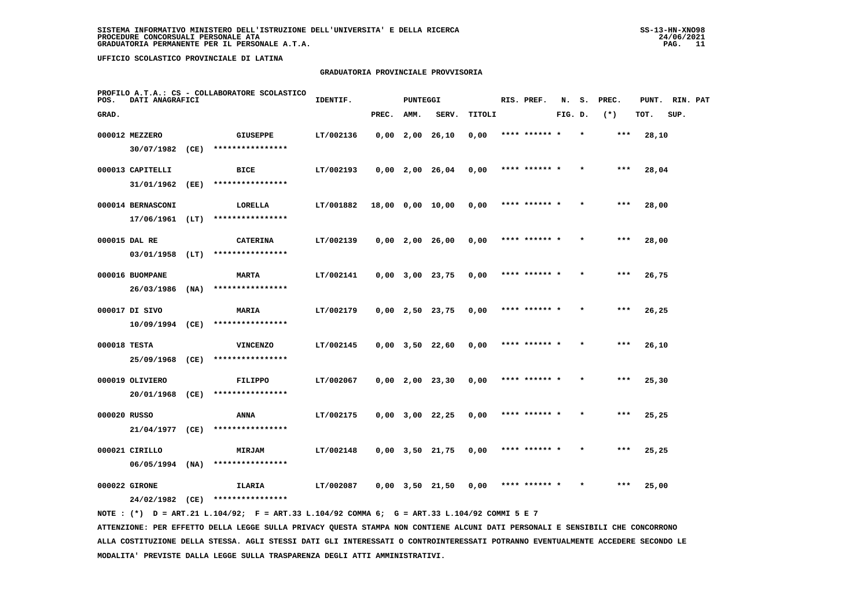# **GRADUATORIA PROVINCIALE PROVVISORIA**

| POS.         | DATI ANAGRAFICI   |      | PROFILO A.T.A.: CS - COLLABORATORE SCOLASTICO | IDENTIF.  |       | <b>PUNTEGGI</b> |                       |        | RIS. PREF.    | N.      | s.      | PREC. | PUNT. | RIN. PAT |  |
|--------------|-------------------|------|-----------------------------------------------|-----------|-------|-----------------|-----------------------|--------|---------------|---------|---------|-------|-------|----------|--|
| GRAD.        |                   |      |                                               |           | PREC. | AMM.            | SERV.                 | TITOLI |               | FIG. D. |         | $(*)$ | TOT.  | SUP.     |  |
|              | 000012 MEZZERO    |      | <b>GIUSEPPE</b>                               | LT/002136 |       |                 | $0,00$ 2,00 26,10     | 0,00   | **** ****** * |         | $\star$ | ***   | 28,10 |          |  |
|              | 30/07/1982        | (CE) | ****************                              |           |       |                 |                       |        |               |         |         |       |       |          |  |
|              | 000013 CAPITELLI  |      | BICE                                          | LT/002193 |       |                 | $0,00$ 2,00 26,04     | 0,00   | **** ****** * |         |         | $***$ | 28,04 |          |  |
|              | 31/01/1962        | (EE) | ****************                              |           |       |                 |                       |        |               |         |         |       |       |          |  |
|              | 000014 BERNASCONI |      | LORELLA                                       | LT/001882 |       |                 | 18,00 0,00 10,00      | 0,00   | **** ****** * |         |         | $***$ | 28,00 |          |  |
|              | $17/06/1961$ (LT) |      | ****************                              |           |       |                 |                       |        |               |         |         |       |       |          |  |
|              | 000015 DAL RE     |      | <b>CATERINA</b>                               | LT/002139 |       |                 | $0,00$ 2,00 26,00     | 0,00   | **** ****** * |         |         | $***$ | 28,00 |          |  |
|              | 03/01/1958        | (LT) | ****************                              |           |       |                 |                       |        |               |         |         |       |       |          |  |
|              | 000016 BUOMPANE   |      | <b>MARTA</b>                                  | LT/002141 |       |                 | $0,00$ $3,00$ $23,75$ | 0,00   | **** ****** * |         |         | ***   | 26,75 |          |  |
|              | 26/03/1986        | (NA) | ****************                              |           |       |                 |                       |        |               |         |         |       |       |          |  |
|              | 000017 DI SIVO    |      | MARIA                                         | LT/002179 |       |                 | $0,00$ 2,50 23,75     | 0,00   | **** ****** * |         |         | $***$ | 26,25 |          |  |
|              | 10/09/1994 (CE)   |      | ****************                              |           |       |                 |                       |        |               |         |         |       |       |          |  |
| 000018 TESTA |                   |      | <b>VINCENZO</b>                               | LT/002145 |       |                 | $0,00$ $3,50$ $22,60$ | 0,00   | **** ****** * |         |         | $***$ | 26,10 |          |  |
|              | 25/09/1968 (CE)   |      | ****************                              |           |       |                 |                       |        |               |         |         |       |       |          |  |
|              | 000019 OLIVIERO   |      | FILIPPO<br>****************                   | LT/002067 |       |                 | $0,00$ $2,00$ $23,30$ | 0,00   | **** ****** * |         |         | ***   | 25,30 |          |  |
|              | 20/01/1968 (CE)   |      |                                               |           |       |                 |                       |        |               |         |         |       |       |          |  |
| 000020 RUSSO |                   |      | ANNA<br>****************                      | LT/002175 |       |                 | $0,00$ $3,00$ $22,25$ | 0,00   | **** ****** * |         |         | $***$ | 25,25 |          |  |
|              | 21/04/1977 (CE)   |      |                                               |           |       |                 |                       |        |               |         |         |       |       |          |  |
|              | 000021 CIRILLO    |      | <b>MIRJAM</b><br>****************             | LT/002148 |       |                 | $0,00$ $3,50$ $21,75$ | 0,00   | **** ****** * |         |         | $***$ | 25,25 |          |  |
|              | $06/05/1994$ (NA) |      |                                               |           |       |                 |                       |        |               |         |         |       |       |          |  |
|              | 000022 GIRONE     |      | ILARIA                                        | LT/002087 |       |                 | $0,00$ $3,50$ $21,50$ | 0,00   | **** ****** * |         |         | $***$ | 25,00 |          |  |
|              | 24/02/1982 (CE)   |      | ****************                              |           |       |                 |                       |        |               |         |         |       |       |          |  |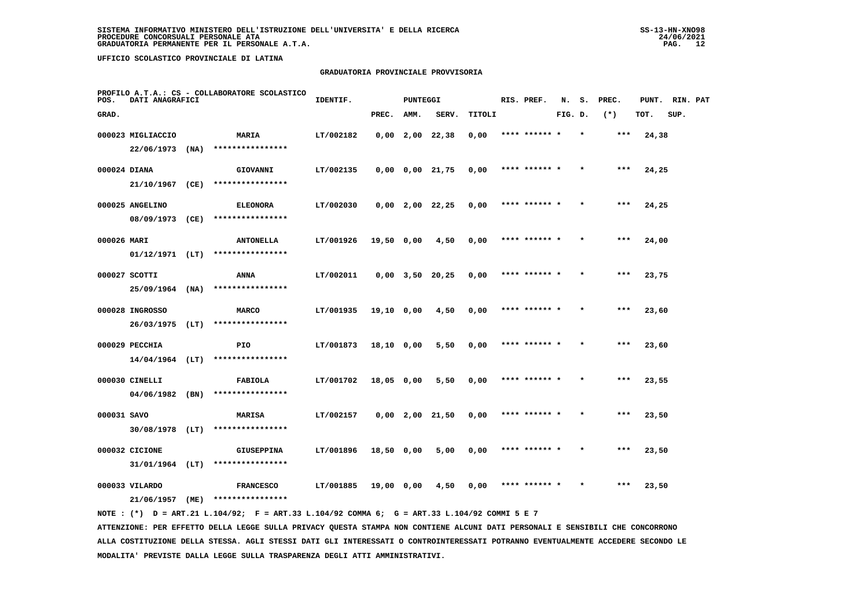# **GRADUATORIA PROVINCIALE PROVVISORIA**

| POS.         | DATI ANAGRAFICI   |      | PROFILO A.T.A.: CS - COLLABORATORE SCOLASTICO | IDENTIF.  |            | <b>PUNTEGGI</b> |                       |        | RIS. PREF.    | N.      | s. | PREC. | PUNT. | <b>RIN. PAT</b> |  |
|--------------|-------------------|------|-----------------------------------------------|-----------|------------|-----------------|-----------------------|--------|---------------|---------|----|-------|-------|-----------------|--|
| GRAD.        |                   |      |                                               |           | PREC.      | AMM.            | SERV.                 | TITOLI |               | FIG. D. |    | $(*)$ | TOT.  | SUP.            |  |
|              | 000023 MIGLIACCIO |      | <b>MARIA</b>                                  | LT/002182 |            |                 | $0,00$ 2,00 22,38     | 0,00   | **** ****** * |         |    | ***   | 24,38 |                 |  |
|              | 22/06/1973        | (NA) | ****************                              |           |            |                 |                       |        |               |         |    |       |       |                 |  |
| 000024 DIANA |                   |      | GIOVANNI                                      | LT/002135 |            |                 | 0,00 0,00 21,75       | 0,00   | **** ****** * |         |    | ***   | 24,25 |                 |  |
|              | $21/10/1967$ (CE) |      | ****************                              |           |            |                 |                       |        |               |         |    |       |       |                 |  |
|              | 000025 ANGELINO   |      | <b>ELEONORA</b>                               | LT/002030 |            |                 | $0,00$ 2,00 22,25     | 0,00   | **** ****** * |         |    | ***   | 24,25 |                 |  |
|              | 08/09/1973 (CE)   |      | ****************                              |           |            |                 |                       |        |               |         |    |       |       |                 |  |
| 000026 MARI  |                   |      | <b>ANTONELLA</b>                              | LT/001926 | 19,50 0,00 |                 | 4,50                  | 0,00   | **** ****** * |         |    | ***   | 24,00 |                 |  |
|              | $01/12/1971$ (LT) |      | ****************                              |           |            |                 |                       |        |               |         |    |       |       |                 |  |
|              | 000027 SCOTTI     |      | ANNA                                          | LT/002011 |            |                 | $0,00$ $3,50$ $20,25$ | 0,00   | **** ****** * |         |    | $***$ | 23,75 |                 |  |
|              | $25/09/1964$ (NA) |      | ****************                              |           |            |                 |                       |        |               |         |    |       |       |                 |  |
|              | 000028 INGROSSO   |      | <b>MARCO</b>                                  | LT/001935 | 19,10 0,00 |                 | 4,50                  | 0,00   | **** ****** * |         |    | ***   | 23,60 |                 |  |
|              | $26/03/1975$ (LT) |      | ****************                              |           |            |                 |                       |        |               |         |    |       |       |                 |  |
|              | 000029 PECCHIA    |      | PIO                                           | LT/001873 | 18,10 0,00 |                 | 5,50                  | 0,00   | **** ****** * |         |    | $***$ | 23,60 |                 |  |
|              | $14/04/1964$ (LT) |      | ****************                              |           |            |                 |                       |        |               |         |    |       |       |                 |  |
|              | 000030 CINELLI    |      | <b>FABIOLA</b>                                | LT/001702 | 18,05 0,00 |                 | 5,50                  | 0,00   | **** ******   |         |    | ***   | 23,55 |                 |  |
|              | $04/06/1982$ (BN) |      | ****************                              |           |            |                 |                       |        |               |         |    |       |       |                 |  |
| 000031 SAVO  |                   |      | <b>MARISA</b>                                 | LT/002157 |            |                 | $0,00$ 2,00 21,50     | 0,00   | **** ****** * |         |    | $***$ | 23,50 |                 |  |
|              | $30/08/1978$ (LT) |      | ****************                              |           |            |                 |                       |        |               |         |    |       |       |                 |  |
|              | 000032 CICIONE    |      | <b>GIUSEPPINA</b>                             | LT/001896 | 18,50 0,00 |                 | 5,00                  | 0,00   | **** ****** * |         |    | ***   | 23,50 |                 |  |
|              | $31/01/1964$ (LT) |      | ****************                              |           |            |                 |                       |        |               |         |    |       |       |                 |  |
|              | 000033 VILARDO    |      | <b>FRANCESCO</b>                              | LT/001885 | 19,00 0,00 |                 | 4,50                  | 0,00   | **** ****** * |         |    | ***   | 23,50 |                 |  |
|              | 21/06/1957 (ME)   |      | ****************                              |           |            |                 |                       |        |               |         |    |       |       |                 |  |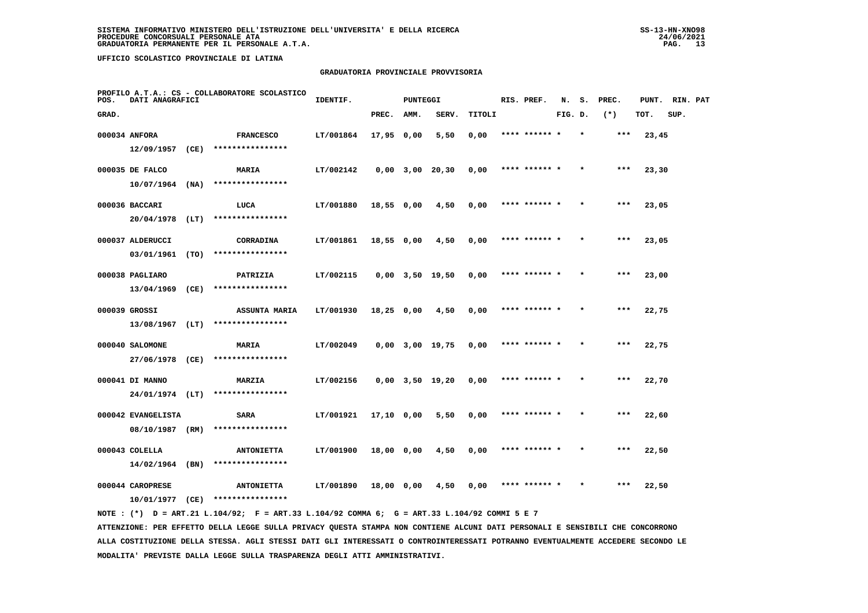# **GRADUATORIA PROVINCIALE PROVVISORIA**

| POS.  | DATI ANAGRAFICI                       |      | PROFILO A.T.A.: CS - COLLABORATORE SCOLASTICO | IDENTIF.  |              | <b>PUNTEGGI</b> |                       |        | RIS. PREF.    | N.      | s. | PREC. | PUNT. | RIN. PAT |  |
|-------|---------------------------------------|------|-----------------------------------------------|-----------|--------------|-----------------|-----------------------|--------|---------------|---------|----|-------|-------|----------|--|
| GRAD. |                                       |      |                                               |           | PREC.        | AMM.            | SERV.                 | TITOLI |               | FIG. D. |    | $(*)$ | TOT.  | SUP.     |  |
|       | 000034 ANFORA                         |      | <b>FRANCESCO</b>                              | LT/001864 | 17,95 0,00   |                 | 5,50                  | 0,00   | **** ****** * |         |    | ***   | 23,45 |          |  |
|       | $12/09/1957$ (CE)                     |      | ****************                              |           |              |                 |                       |        |               |         |    |       |       |          |  |
|       | 000035 DE FALCO                       |      | <b>MARIA</b>                                  | LT/002142 |              |                 | $0,00$ 3,00 20,30     | 0,00   | **** ****** * |         |    | $***$ | 23,30 |          |  |
|       | $10/07/1964$ (NA)                     |      | ****************                              |           |              |                 |                       |        |               |         |    |       |       |          |  |
|       | 000036 BACCARI                        |      | LUCA                                          | LT/001880 | 18,55 0,00   |                 | 4,50                  | 0,00   | **** ****** * |         |    | ***   | 23,05 |          |  |
|       | $20/04/1978$ (LT)                     |      | ****************                              |           |              |                 |                       |        |               |         |    |       |       |          |  |
|       | 000037 ALDERUCCI                      |      | CORRADINA                                     | LT/001861 | 18,55 0,00   |                 | 4,50                  | 0,00   | **** ****** * |         |    | ***   | 23,05 |          |  |
|       | 03/01/1961                            | (TO) | ****************                              |           |              |                 |                       |        |               |         |    |       |       |          |  |
|       | 000038 PAGLIARO                       |      | PATRIZIA                                      | LT/002115 |              |                 | $0,00$ $3,50$ $19,50$ | 0,00   | **** ****** * |         |    | ***   | 23,00 |          |  |
|       | 13/04/1969                            | (CE) | ****************                              |           |              |                 |                       |        |               |         |    |       |       |          |  |
|       | 000039 GROSSI                         |      | <b>ASSUNTA MARIA</b>                          | LT/001930 | 18,25 0,00   |                 | 4,50                  | 0,00   | **** ****** * |         |    | $***$ | 22,75 |          |  |
|       | $13/08/1967$ (LT)                     |      | ****************                              |           |              |                 |                       |        |               |         |    |       |       |          |  |
|       | 000040 SALOMONE                       |      | MARIA                                         | LT/002049 |              |                 | 0,00 3,00 19,75       | 0,00   | **** ****** * |         |    | $***$ | 22,75 |          |  |
|       | 27/06/1978 (CE)                       |      | ****************                              |           |              |                 |                       |        |               |         |    |       |       |          |  |
|       | 000041 DI MANNO<br>24/01/1974 (LT)    |      | MARZIA<br>****************                    | LT/002156 |              |                 | $0,00$ $3,50$ $19,20$ | 0,00   |               |         |    | ***   | 22,70 |          |  |
|       |                                       |      |                                               |           |              |                 |                       |        |               |         |    |       |       |          |  |
|       | 000042 EVANGELISTA<br>08/10/1987 (RM) |      | <b>SARA</b><br>****************               | LT/001921 | $17,10$ 0,00 |                 | 5,50                  | 0,00   | **** ****** * |         |    | ***   | 22,60 |          |  |
|       |                                       |      |                                               |           |              |                 |                       |        |               |         |    |       |       |          |  |
|       | $000043$ COLELLA<br>$14/02/1964$ (BN) |      | <b>ANTONIETTA</b><br>****************         | LT/001900 | 18,00 0,00   |                 | 4,50                  | 0,00   | **** ****** * |         |    | ***   | 22,50 |          |  |
|       |                                       |      |                                               |           |              |                 |                       |        |               |         |    |       |       |          |  |
|       | 000044 CAROPRESE<br>10/01/1977        | (CE) | <b>ANTONIETTA</b><br>****************         | LT/001890 | 18,00 0,00   |                 | 4,50                  | 0,00   | **** ****** * |         |    | ***   | 22,50 |          |  |
|       |                                       |      |                                               |           |              |                 |                       |        |               |         |    |       |       |          |  |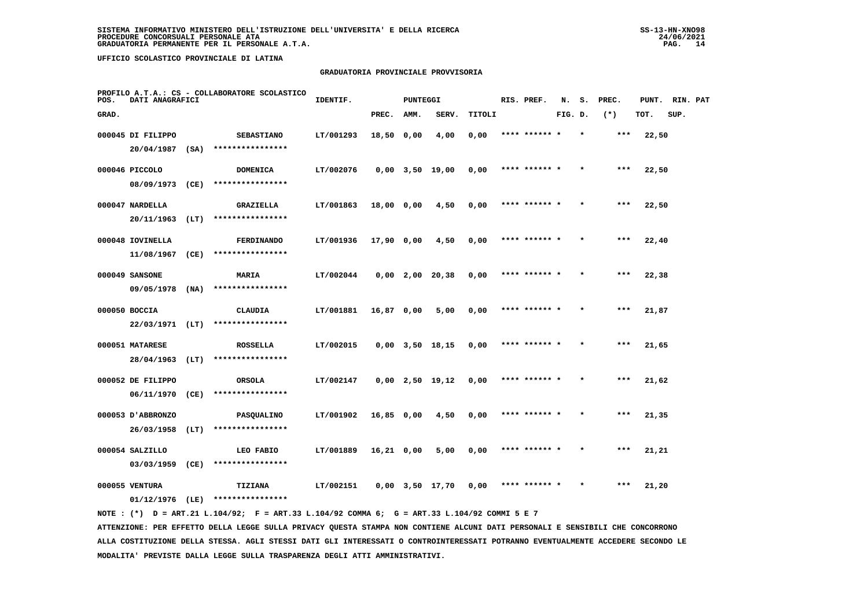# **GRADUATORIA PROVINCIALE PROVVISORIA**

| POS.  | DATI ANAGRAFICI   |      | PROFILO A.T.A.: CS - COLLABORATORE SCOLASTICO | IDENTIF.  |            | <b>PUNTEGGI</b> |                       |        | RIS. PREF.    | N.      | s.      | PREC. | PUNT. | RIN. PAT |  |
|-------|-------------------|------|-----------------------------------------------|-----------|------------|-----------------|-----------------------|--------|---------------|---------|---------|-------|-------|----------|--|
| GRAD. |                   |      |                                               |           | PREC.      | AMM.            | SERV.                 | TITOLI |               | FIG. D. |         | $(*)$ | TOT.  | SUP.     |  |
|       | 000045 DI FILIPPO |      | <b>SEBASTIANO</b>                             | LT/001293 | 18,50 0,00 |                 | 4,00                  | 0,00   | **** ****** * |         | $\star$ | $***$ | 22,50 |          |  |
|       | 20/04/1987        | (SA) | ****************                              |           |            |                 |                       |        |               |         |         |       |       |          |  |
|       | 000046 PICCOLO    |      | <b>DOMENICA</b>                               | LT/002076 |            |                 | $0,00$ $3,50$ $19,00$ | 0,00   | **** ****** * |         |         | $***$ | 22,50 |          |  |
|       | 08/09/1973 (CE)   |      | ****************                              |           |            |                 |                       |        |               |         |         |       |       |          |  |
|       | 000047 NARDELLA   |      | GRAZIELLA                                     | LT/001863 | 18,00 0,00 |                 | 4,50                  | 0,00   | **** ****** * |         |         | $***$ | 22,50 |          |  |
|       | 20/11/1963        | (LT) | ****************                              |           |            |                 |                       |        |               |         |         |       |       |          |  |
|       | 000048 IOVINELLA  |      | <b>FERDINANDO</b>                             | LT/001936 | 17,90 0,00 |                 | 4,50                  | 0,00   | **** ****** * |         |         | $***$ | 22,40 |          |  |
|       | 11/08/1967        | (CE) | ****************                              |           |            |                 |                       |        |               |         |         |       |       |          |  |
|       | 000049 SANSONE    |      | MARIA                                         | LT/002044 |            |                 | $0,00$ 2,00 20,38     | 0,00   | **** ****** * |         |         | $***$ | 22,38 |          |  |
|       | 09/05/1978        | (NA) | ****************                              |           |            |                 |                       |        |               |         |         |       |       |          |  |
|       | 000050 BOCCIA     |      | <b>CLAUDIA</b>                                | LT/001881 | 16,87 0,00 |                 | 5,00                  | 0,00   |               |         |         | $***$ | 21,87 |          |  |
|       | $22/03/1971$ (LT) |      | ****************                              |           |            |                 |                       |        |               |         |         |       |       |          |  |
|       | 000051 MATARESE   |      | <b>ROSSELLA</b>                               | LT/002015 |            |                 | $0,00$ $3,50$ $18,15$ | 0,00   | **** ****** * |         |         | $***$ | 21,65 |          |  |
|       | $28/04/1963$ (LT) |      | ****************                              |           |            |                 |                       |        |               |         |         |       |       |          |  |
|       | 000052 DE FILIPPO |      | <b>ORSOLA</b>                                 | LT/002147 |            |                 | $0,00$ 2,50 19,12     | 0,00   | **** ****** * |         |         | ***   | 21,62 |          |  |
|       | 06/11/1970        | (CE) | ****************                              |           |            |                 |                       |        |               |         |         |       |       |          |  |
|       | 000053 D'ABBRONZO |      | <b>PASQUALINO</b>                             | LT/001902 | 16,85 0,00 |                 | 4,50                  | 0,00   | **** ****** * |         |         | ***   | 21,35 |          |  |
|       | 26/03/1958        | (LT) | ****************                              |           |            |                 |                       |        |               |         |         |       |       |          |  |
|       | 000054 SALZILLO   |      | LEO FABIO                                     | LT/001889 | 16,21 0,00 |                 | 5,00                  | 0,00   | **** ****** * |         |         | $***$ | 21,21 |          |  |
|       | 03/03/1959 (CE)   |      | ****************                              |           |            |                 |                       |        |               |         |         |       |       |          |  |
|       | 000055 VENTURA    |      | TIZIANA                                       | LT/002151 |            |                 | $0.00$ $3.50$ $17.70$ | 0.00   | **** ****** * |         |         | ***   | 21,20 |          |  |
|       | 01/12/1976        | (LE) | ****************                              |           |            |                 |                       |        |               |         |         |       |       |          |  |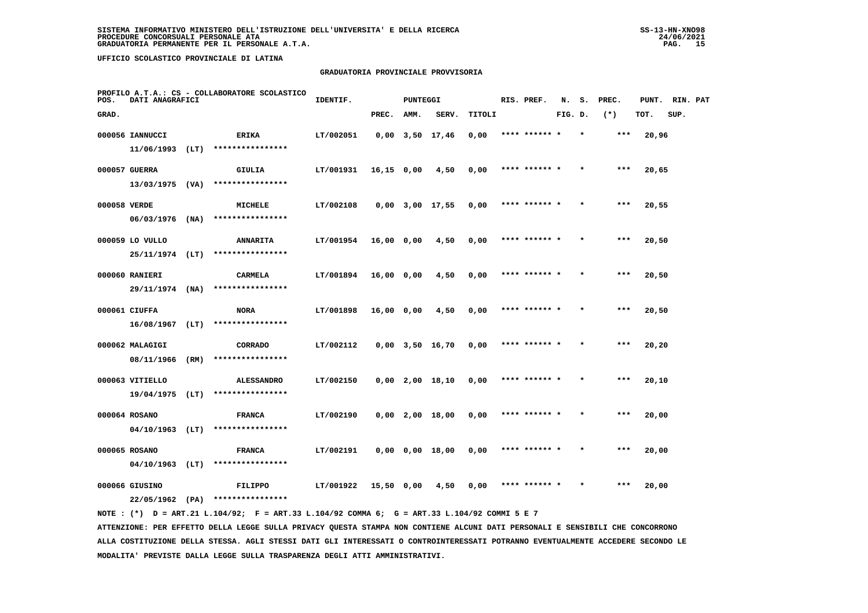# **GRADUATORIA PROVINCIALE PROVVISORIA**

| POS.         | DATI ANAGRAFICI   |      | PROFILO A.T.A.: CS - COLLABORATORE SCOLASTICO | IDENTIF.  |              | <b>PUNTEGGI</b> |                       |        | RIS. PREF.    | N.      | s.      | PREC. | PUNT. RIN. PAT |      |  |
|--------------|-------------------|------|-----------------------------------------------|-----------|--------------|-----------------|-----------------------|--------|---------------|---------|---------|-------|----------------|------|--|
| GRAD.        |                   |      |                                               |           | PREC.        | AMM.            | SERV.                 | TITOLI |               | FIG. D. |         | $(*)$ | TOT.           | SUP. |  |
|              | 000056 IANNUCCI   |      | <b>ERIKA</b>                                  | LT/002051 |              |                 | $0,00$ $3,50$ $17,46$ | 0,00   |               |         |         |       | 20,96          |      |  |
|              | $11/06/1993$ (LT) |      | ****************                              |           |              |                 |                       |        |               |         |         |       |                |      |  |
|              | 000057 GUERRA     |      | GIULIA                                        | LT/001931 | 16,15 0,00   |                 | 4,50                  | 0,00   | **** ****** * |         |         | $***$ | 20,65          |      |  |
|              | $13/03/1975$ (VA) |      | ****************                              |           |              |                 |                       |        |               |         |         |       |                |      |  |
| 000058 VERDE |                   |      | MICHELE                                       | LT/002108 |              |                 | 0,00 3,00 17,55       | 0,00   | **** ****** * |         | $\star$ | $***$ | 20,55          |      |  |
|              | 06/03/1976        | (NA) | ****************                              |           |              |                 |                       |        |               |         |         |       |                |      |  |
|              | 000059 LO VULLO   |      | <b>ANNARITA</b>                               | LT/001954 | $16,00$ 0,00 |                 | 4,50                  | 0,00   | **** ****** * |         |         | $***$ | 20,50          |      |  |
|              | 25/11/1974 (LT)   |      | ****************                              |           |              |                 |                       |        |               |         |         |       |                |      |  |
|              | 000060 RANIERI    |      | <b>CARMELA</b>                                | LT/001894 | 16,00 0,00   |                 | 4,50                  | 0,00   | **** ****** * |         |         | $***$ | 20,50          |      |  |
|              | 29/11/1974 (NA)   |      | ****************                              |           |              |                 |                       |        |               |         |         |       |                |      |  |
|              | 000061 CIUFFA     |      | NORA                                          | LT/001898 | 16,00 0,00   |                 | 4,50                  | 0,00   | **** ****** * |         |         | $***$ | 20,50          |      |  |
|              | $16/08/1967$ (LT) |      | ****************                              |           |              |                 |                       |        |               |         |         |       |                |      |  |
|              | 000062 MALAGIGI   |      | CORRADO                                       | LT/002112 |              |                 | $0,00$ $3,50$ $16,70$ | 0,00   | **** ****** * |         |         | ***   | 20,20          |      |  |
|              | 08/11/1966        | (RM) | ****************                              |           |              |                 |                       |        |               |         |         |       |                |      |  |
|              | 000063 VITIELLO   |      | <b>ALESSANDRO</b>                             | LT/002150 |              |                 | $0,00$ 2,00 18,10     | 0,00   | **** ****** * |         |         | ***   | 20,10          |      |  |
|              | $19/04/1975$ (LT) |      | ****************                              |           |              |                 |                       |        |               |         |         |       |                |      |  |
|              | 000064 ROSANO     |      | <b>FRANCA</b>                                 | LT/002190 |              |                 | $0,00$ 2,00 18,00     | 0,00   | **** ****** * |         |         | ***   | 20,00          |      |  |
|              | 04/10/1963        | (LT) | ****************                              |           |              |                 |                       |        |               |         |         |       |                |      |  |
|              | 000065 ROSANO     |      | <b>FRANCA</b>                                 | LT/002191 |              |                 | $0,00$ $0,00$ $18,00$ | 0,00   | **** ****** * |         |         | $***$ | 20,00          |      |  |
|              | $04/10/1963$ (LT) |      | ****************                              |           |              |                 |                       |        |               |         |         |       |                |      |  |
|              | 000066 GIUSINO    |      | FILIPPO                                       | LT/001922 | 15,50 0,00   |                 | 4,50                  | 0,00   | **** ****** * |         |         | ***   | 20,00          |      |  |
|              | 22/05/1962 (PA)   |      | ****************                              |           |              |                 |                       |        |               |         |         |       |                |      |  |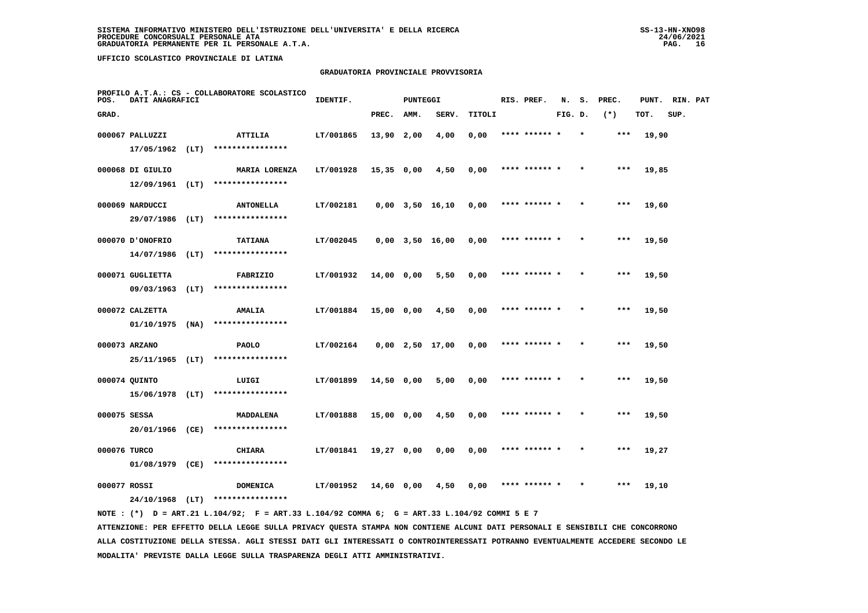# **GRADUATORIA PROVINCIALE PROVVISORIA**

| POS.         | DATI ANAGRAFICI   |      | PROFILO A.T.A.: CS - COLLABORATORE SCOLASTICO | IDENTIF.  |              | <b>PUNTEGGI</b> |                       |        | RIS. PREF.    | N.      | s.      | PREC. | PUNT. | RIN. PAT |  |
|--------------|-------------------|------|-----------------------------------------------|-----------|--------------|-----------------|-----------------------|--------|---------------|---------|---------|-------|-------|----------|--|
| GRAD.        |                   |      |                                               |           | PREC.        | AMM.            | SERV.                 | TITOLI |               | FIG. D. |         | $(*)$ | TOT.  | SUP.     |  |
|              | 000067 PALLUZZI   |      | ATTILIA                                       | LT/001865 | 13,90 2,00   |                 | 4,00                  | 0,00   | **** ****** * |         | $\star$ | $***$ | 19,90 |          |  |
|              | $17/05/1962$ (LT) |      | ****************                              |           |              |                 |                       |        |               |         |         |       |       |          |  |
|              | 000068 DI GIULIO  |      | MARIA LORENZA                                 | LT/001928 | $15,35$ 0,00 |                 | 4,50                  | 0,00   | **** ****** * |         |         | $***$ | 19,85 |          |  |
|              | 12/09/1961        | (LT) | ****************                              |           |              |                 |                       |        |               |         |         |       |       |          |  |
|              | 000069 NARDUCCI   |      | <b>ANTONELLA</b>                              | LT/002181 |              |                 | $0,00$ $3,50$ $16,10$ | 0,00   | **** ****** * |         |         | $***$ | 19,60 |          |  |
|              | 29/07/1986        | (LT) | ****************                              |           |              |                 |                       |        |               |         |         |       |       |          |  |
|              | 000070 D'ONOFRIO  |      | <b>TATIANA</b>                                | LT/002045 |              |                 | $0,00$ $3,50$ $16,00$ | 0,00   | **** ****** * |         |         | $***$ | 19,50 |          |  |
|              | 14/07/1986        | (LT) | ****************                              |           |              |                 |                       |        |               |         |         |       |       |          |  |
|              | 000071 GUGLIETTA  |      | FABRIZIO                                      | LT/001932 | 14,00 0,00   |                 | 5,50                  | 0,00   | **** ****** * |         |         | $***$ | 19,50 |          |  |
|              | 09/03/1963        | (LT) | ****************                              |           |              |                 |                       |        |               |         |         |       |       |          |  |
|              | 000072 CALZETTA   |      | <b>AMALIA</b>                                 | LT/001884 | 15,00 0,00   |                 | 4,50                  | 0,00   | **** ****** * |         |         | ***   | 19,50 |          |  |
|              | $01/10/1975$ (NA) |      | ****************                              |           |              |                 |                       |        |               |         |         |       |       |          |  |
|              | 000073 ARZANO     |      | <b>PAOLO</b>                                  | LT/002164 |              |                 | $0,00$ 2,50 17,00     | 0,00   | **** ******   |         |         | ***   | 19,50 |          |  |
|              | $25/11/1965$ (LT) |      | ****************                              |           |              |                 |                       |        |               |         |         |       |       |          |  |
|              | 000074 QUINTO     |      | LUIGI                                         | LT/001899 | 14,50 0,00   |                 | 5,00                  | 0,00   | **** ****** * |         |         | $***$ | 19,50 |          |  |
|              | $15/06/1978$ (LT) |      | ****************                              |           |              |                 |                       |        |               |         |         |       |       |          |  |
| 000075 SESSA |                   |      | MADDALENA                                     | LT/001888 | 15,00 0,00   |                 | 4,50                  | 0,00   | **** ****** * |         | $\star$ | $***$ | 19,50 |          |  |
|              | 20/01/1966 (CE)   |      | ****************                              |           |              |                 |                       |        |               |         |         |       |       |          |  |
| 000076 TURCO |                   |      | <b>CHIARA</b>                                 | LT/001841 | 19,27 0,00   |                 | 0,00                  | 0,00   | **** ****** * |         |         | ***   | 19,27 |          |  |
|              | $01/08/1979$ (CE) |      | ****************                              |           |              |                 |                       |        |               |         |         |       |       |          |  |
| 000077 ROSSI |                   |      | <b>DOMENICA</b><br>****************           | LT/001952 | 14,60 0,00   |                 | 4,50                  | 0.00   | **** ****** * |         |         | $***$ | 19,10 |          |  |
|              | 24/10/1968        | (LT) |                                               |           |              |                 |                       |        |               |         |         |       |       |          |  |

 **NOTE : (\*) D = ART.21 L.104/92; F = ART.33 L.104/92 COMMA 6; G = ART.33 L.104/92 COMMI 5 E 7 ATTENZIONE: PER EFFETTO DELLA LEGGE SULLA PRIVACY QUESTA STAMPA NON CONTIENE ALCUNI DATI PERSONALI E SENSIBILI CHE CONCORRONO**

 **ALLA COSTITUZIONE DELLA STESSA. AGLI STESSI DATI GLI INTERESSATI O CONTROINTERESSATI POTRANNO EVENTUALMENTE ACCEDERE SECONDO LE MODALITA' PREVISTE DALLA LEGGE SULLA TRASPARENZA DEGLI ATTI AMMINISTRATIVI.**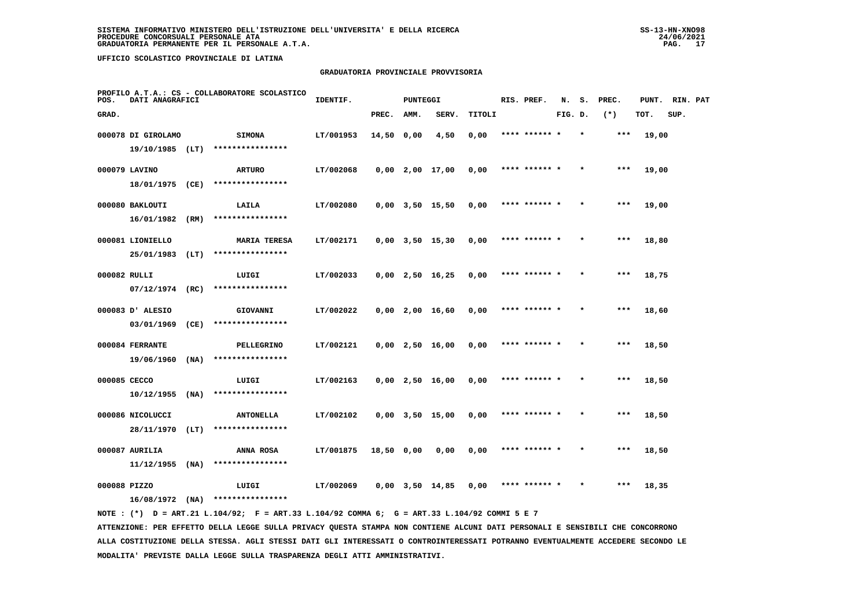# **GRADUATORIA PROVINCIALE PROVVISORIA**

| POS.         | DATI ANAGRAFICI                   |      | PROFILO A.T.A.: CS - COLLABORATORE SCOLASTICO | IDENTIF.  |            | PUNTEGGI |                       |        | RIS. PREF.    | N.      | s.      | PREC. | PUNT. | RIN. PAT |  |
|--------------|-----------------------------------|------|-----------------------------------------------|-----------|------------|----------|-----------------------|--------|---------------|---------|---------|-------|-------|----------|--|
| GRAD.        |                                   |      |                                               |           | PREC.      | AMM.     | SERV.                 | TITOLI |               | FIG. D. |         | $(*)$ | TOT.  | SUP.     |  |
|              | 000078 DI GIROLAMO                |      | <b>SIMONA</b>                                 | LT/001953 | 14,50 0,00 |          | 4,50                  | 0,00   | **** ******   |         |         | $***$ | 19,00 |          |  |
|              | $19/10/1985$ (LT)                 |      | ****************                              |           |            |          |                       |        |               |         |         |       |       |          |  |
|              | 000079 LAVINO                     |      | <b>ARTURO</b>                                 | LT/002068 |            |          | $0,00$ 2,00 17,00     | 0,00   | **** ****** * |         |         | $***$ | 19,00 |          |  |
|              | 18/01/1975                        | (CE) | ****************                              |           |            |          |                       |        |               |         |         |       |       |          |  |
|              | 000080 BAKLOUTI                   |      | LAILA                                         | LT/002080 |            |          | $0,00$ $3,50$ $15,50$ | 0,00   | **** ****** * |         | $\star$ | ***   | 19,00 |          |  |
|              | 16/01/1982                        | (RM) | ****************                              |           |            |          |                       |        |               |         |         |       |       |          |  |
|              | 000081 LIONIELLO                  |      | <b>MARIA TERESA</b>                           | LT/002171 |            |          | $0,00$ $3,50$ $15,30$ | 0,00   | **** ****** * |         |         | ***   | 18,80 |          |  |
|              | 25/01/1983                        | (LT) | ****************                              |           |            |          |                       |        |               |         |         |       |       |          |  |
|              | 000082 RULLI                      |      | LUIGI                                         | LT/002033 |            |          | $0,00$ 2,50 16,25     | 0,00   | **** ****** * |         | $\star$ | $***$ | 18,75 |          |  |
|              | $07/12/1974$ (RC)                 |      | ****************                              |           |            |          |                       |        |               |         |         |       |       |          |  |
|              | 000083 J' ALESIO                  |      | GIOVANNI                                      | LT/002022 |            |          | $0,00$ 2,00 16,60     | 0,00   | **** ****** * |         |         | $***$ | 18,60 |          |  |
|              | 03/01/1969                        | (CE) | ****************                              |           |            |          |                       |        |               |         |         |       |       |          |  |
|              | 000084 FERRANTE                   |      | PELLEGRINO                                    | LT/002121 |            |          | $0,00$ 2,50 16,00     | 0,00   | **** ******   |         |         | $***$ | 18,50 |          |  |
|              | 19/06/1960                        | (NA) | ****************                              |           |            |          |                       |        |               |         |         |       |       |          |  |
| 000085 CECCO |                                   |      | LUIGI                                         | LT/002163 |            |          | $0,00$ 2,50 16,00     | 0,00   | **** ****** * |         |         | $***$ | 18,50 |          |  |
|              | 10/12/1955                        | (NA) | ****************                              |           |            |          |                       |        |               |         |         |       |       |          |  |
|              | 000086 NICOLUCCI                  |      | <b>ANTONELLA</b>                              | LT/002102 |            |          | $0,00$ $3,50$ $15,00$ | 0,00   | **** ****** * |         |         | $***$ | 18,50 |          |  |
|              | 28/11/1970                        | (LT) | ****************                              |           |            |          |                       |        |               |         |         |       |       |          |  |
|              | 000087 AURILIA                    |      | ANNA ROSA<br>****************                 | LT/001875 | 18,50 0,00 |          | 0,00                  | 0,00   | **** ****** * |         |         | $***$ | 18,50 |          |  |
|              | $11/12/1955$ (NA)                 |      |                                               |           |            |          |                       |        |               |         |         |       |       |          |  |
|              | 000088 PIZZO<br>$16/08/1972$ (NA) |      | LUIGI<br>****************                     | LT/002069 |            |          | $0,00$ $3,50$ $14,85$ | 0,00   |               |         |         | ***   | 18,35 |          |  |
|              |                                   |      |                                               |           |            |          |                       |        |               |         |         |       |       |          |  |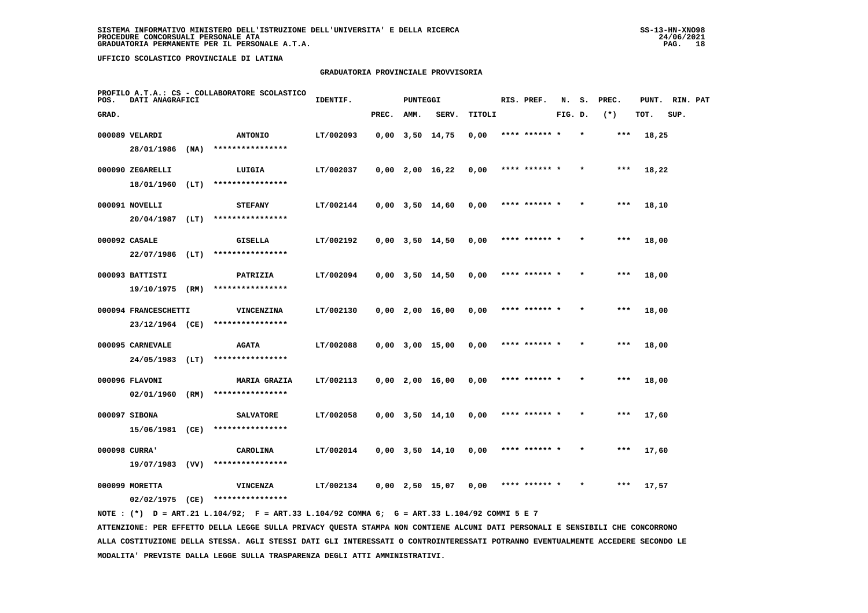# **GRADUATORIA PROVINCIALE PROVVISORIA**

| POS.  | DATI ANAGRAFICI      |      | PROFILO A.T.A.: CS - COLLABORATORE SCOLASTICO | IDENTIF.  |       | <b>PUNTEGGI</b> |                       |        | RIS. PREF.    | N.      | s.      | PREC. | PUNT. | RIN. PAT |  |
|-------|----------------------|------|-----------------------------------------------|-----------|-------|-----------------|-----------------------|--------|---------------|---------|---------|-------|-------|----------|--|
| GRAD. |                      |      |                                               |           | PREC. | AMM.            | SERV.                 | TITOLI |               | FIG. D. |         | $(*)$ | TOT.  | SUP.     |  |
|       | 000089 VELARDI       |      | <b>ANTONIO</b>                                | LT/002093 |       |                 | $0,00$ $3,50$ $14,75$ | 0,00   | **** ****** * |         |         | ***   | 18,25 |          |  |
|       | 28/01/1986           | (NA) | ****************                              |           |       |                 |                       |        |               |         |         |       |       |          |  |
|       | 000090 ZEGARELLI     |      | LUIGIA                                        | LT/002037 |       |                 | $0,00$ 2,00 16,22     | 0,00   | **** ****** * |         |         | $***$ | 18,22 |          |  |
|       | 18/01/1960           | (LT) | ****************                              |           |       |                 |                       |        |               |         |         |       |       |          |  |
|       | 000091 NOVELLI       |      | <b>STEFANY</b>                                | LT/002144 |       |                 | $0,00$ $3,50$ $14,60$ | 0,00   | **** ****** * |         |         | ***   | 18,10 |          |  |
|       | 20/04/1987           | (LT) | ****************                              |           |       |                 |                       |        |               |         |         |       |       |          |  |
|       | 000092 CASALE        |      | <b>GISELLA</b>                                | LT/002192 |       |                 | $0,00$ $3,50$ $14,50$ | 0,00   | **** ****** * |         |         | ***   | 18,00 |          |  |
|       | 22/07/1986           | (LT) | ****************                              |           |       |                 |                       |        |               |         |         |       |       |          |  |
|       | 000093 BATTISTI      |      | PATRIZIA                                      | LT/002094 |       |                 | $0,00$ $3,50$ $14,50$ | 0,00   | **** ****** * |         |         | $***$ | 18,00 |          |  |
|       | 19/10/1975           | (RM) | ****************                              |           |       |                 |                       |        |               |         |         |       |       |          |  |
|       | 000094 FRANCESCHETTI |      | <b>VINCENZINA</b>                             | LT/002130 |       |                 | $0,00$ 2,00 16,00     | 0,00   | **** ****** * |         |         | $***$ | 18,00 |          |  |
|       | 23/12/1964 (CE)      |      | ****************                              |           |       |                 |                       |        |               |         |         |       |       |          |  |
|       | 000095 CARNEVALE     |      | <b>AGATA</b>                                  | LT/002088 |       |                 | $0,00$ 3,00 15,00     | 0,00   | **** ****** * |         |         | ***   | 18,00 |          |  |
|       | 24/05/1983           | (LT) | ****************                              |           |       |                 |                       |        |               |         |         |       |       |          |  |
|       | 000096 FLAVONI       |      | <b>MARIA GRAZIA</b>                           | LT/002113 |       |                 | $0,00$ 2,00 16,00     | 0,00   |               |         |         | ***   | 18,00 |          |  |
|       | 02/01/1960 (RM)      |      | ****************                              |           |       |                 |                       |        |               |         |         |       |       |          |  |
|       | 000097 SIBONA        |      | <b>SALVATORE</b>                              | LT/002058 |       |                 | $0,00$ $3,50$ $14,10$ | 0,00   | **** ****** * |         |         | $***$ | 17,60 |          |  |
|       | 15/06/1981           | (CE) | ****************                              |           |       |                 |                       |        |               |         |         |       |       |          |  |
|       | 000098 CURRA'        |      | CAROLINA                                      | LT/002014 |       |                 | $0,00$ $3,50$ $14,10$ | 0,00   | **** ****** * |         | $\star$ | ***   | 17,60 |          |  |
|       | 19/07/1983           | (VV) | ****************                              |           |       |                 |                       |        |               |         |         |       |       |          |  |
|       | 000099 MORETTA       |      | <b>VINCENZA</b>                               | LT/002134 |       |                 | $0,00$ 2,50 15,07     | 0,00   | **** ****** * |         |         | $***$ | 17,57 |          |  |
|       | $02/02/1975$ (CE)    |      | ****************                              |           |       |                 |                       |        |               |         |         |       |       |          |  |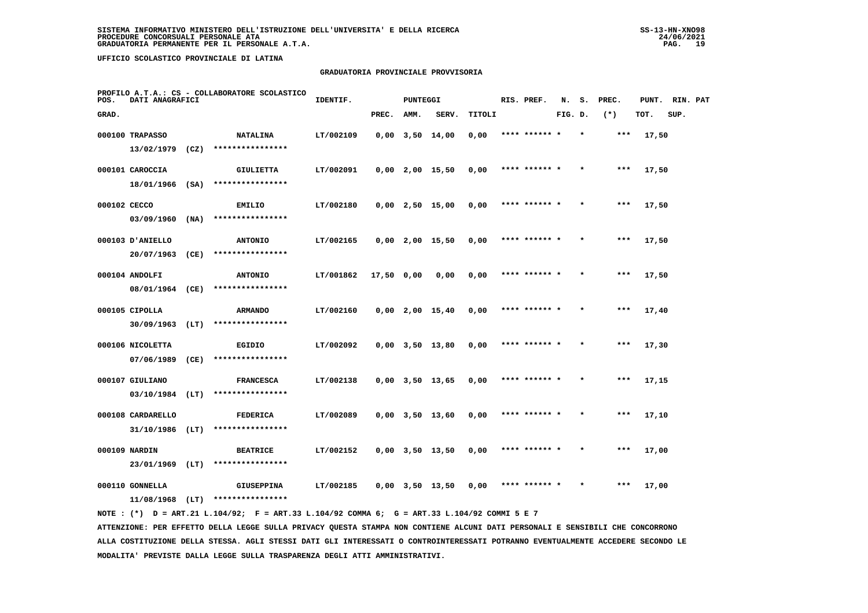# **GRADUATORIA PROVINCIALE PROVVISORIA**

| POS.         | DATI ANAGRAFICI   |      | PROFILO A.T.A.: CS - COLLABORATORE SCOLASTICO | IDENTIF.  |            | <b>PUNTEGGI</b> |                       |        | RIS. PREF.    | N.      | s. | PREC. | PUNT. | RIN. PAT |  |
|--------------|-------------------|------|-----------------------------------------------|-----------|------------|-----------------|-----------------------|--------|---------------|---------|----|-------|-------|----------|--|
| GRAD.        |                   |      |                                               |           | PREC.      | AMM.            | SERV.                 | TITOLI |               | FIG. D. |    | $(*)$ | TOT.  | SUP.     |  |
|              | 000100 TRAPASSO   |      | <b>NATALINA</b>                               | LT/002109 |            |                 | $0,00$ $3,50$ $14,00$ | 0,00   | **** ****** * |         |    | ***   | 17,50 |          |  |
|              | 13/02/1979        | (CZ) | ****************                              |           |            |                 |                       |        |               |         |    |       |       |          |  |
|              | 000101 CAROCCIA   |      | GIULIETTA                                     | LT/002091 |            |                 | $0,00$ 2,00 15,50     | 0,00   | **** ****** * |         |    | $***$ | 17,50 |          |  |
|              | 18/01/1966 (SA)   |      | ****************                              |           |            |                 |                       |        |               |         |    |       |       |          |  |
| 000102 CECCO |                   |      | EMILIO                                        | LT/002180 |            |                 | $0,00$ 2,50 15,00     | 0,00   | **** ****** * |         |    | $***$ | 17,50 |          |  |
|              | 03/09/1960        | (NA) | ****************                              |           |            |                 |                       |        |               |         |    |       |       |          |  |
|              | 000103 D'ANIELLO  |      | <b>ANTONIO</b>                                | LT/002165 |            |                 | $0,00$ 2,00 15,50     | 0,00   | **** ****** * |         |    | ***   | 17,50 |          |  |
|              | 20/07/1963        | (CE) | ****************                              |           |            |                 |                       |        |               |         |    |       |       |          |  |
|              | 000104 ANDOLFI    |      | <b>ANTONIO</b>                                | LT/001862 | 17,50 0,00 |                 | 0,00                  | 0,00   | **** ****** * |         |    | $***$ | 17,50 |          |  |
|              | 08/01/1964 (CE)   |      | ****************                              |           |            |                 |                       |        |               |         |    |       |       |          |  |
|              | 000105 CIPOLLA    |      | <b>ARMANDO</b>                                | LT/002160 |            |                 | $0,00$ 2,00 15,40     | 0,00   | **** ****** * |         |    | ***   | 17,40 |          |  |
|              | $30/09/1963$ (LT) |      | ****************                              |           |            |                 |                       |        |               |         |    |       |       |          |  |
|              | 000106 NICOLETTA  |      | EGIDIO                                        | LT/002092 |            |                 | $0,00$ $3,50$ $13,80$ | 0,00   | **** ****** * |         |    | $***$ | 17,30 |          |  |
|              | 07/06/1989        | (CE) | ****************                              |           |            |                 |                       |        |               |         |    |       |       |          |  |
|              | 000107 GIULIANO   |      | <b>FRANCESCA</b>                              | LT/002138 |            |                 | $0,00$ $3,50$ $13,65$ | 0,00   | **** ******   |         |    | ***   | 17,15 |          |  |
|              | $03/10/1984$ (LT) |      | ****************                              |           |            |                 |                       |        |               |         |    |       |       |          |  |
|              | 000108 CARDARELLO |      | <b>FEDERICA</b>                               | LT/002089 |            |                 | $0,00$ $3,50$ $13,60$ | 0,00   | **** ****** * |         |    | $***$ | 17,10 |          |  |
|              | 31/10/1986 (LT)   |      | ****************                              |           |            |                 |                       |        |               |         |    |       |       |          |  |
|              | 000109 NARDIN     |      | <b>BEATRICE</b>                               | LT/002152 |            |                 | $0,00$ $3,50$ $13,50$ | 0,00   | **** ****** * |         |    | ***   | 17,00 |          |  |
|              | 23/01/1969        | (LT) | ****************                              |           |            |                 |                       |        |               |         |    |       |       |          |  |
|              | 000110 GONNELLA   |      | <b>GIUSEPPINA</b>                             | LT/002185 |            |                 | $0,00$ $3,50$ $13,50$ | 0,00   | **** ****** * |         |    | ***   | 17,00 |          |  |
|              | 11/08/1968        | (LT) | ****************                              |           |            |                 |                       |        |               |         |    |       |       |          |  |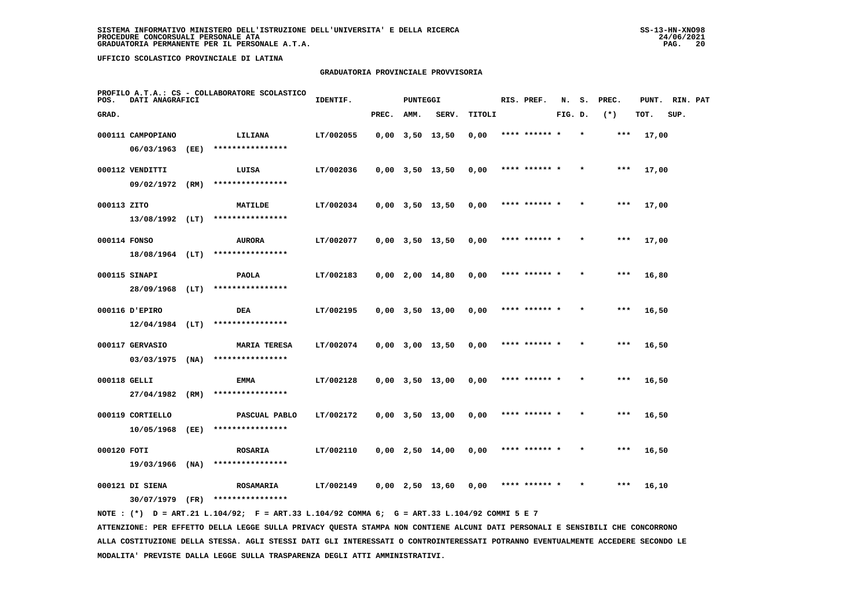# **GRADUATORIA PROVINCIALE PROVVISORIA**

| POS.         | DATI ANAGRAFICI                      |      | PROFILO A.T.A.: CS - COLLABORATORE SCOLASTICO | IDENTIF.  |       | <b>PUNTEGGI</b> |                       |        | RIS. PREF.    | N.      | s. | PREC. | PUNT. RIN. PAT |      |  |
|--------------|--------------------------------------|------|-----------------------------------------------|-----------|-------|-----------------|-----------------------|--------|---------------|---------|----|-------|----------------|------|--|
| GRAD.        |                                      |      |                                               |           | PREC. | AMM.            | SERV.                 | TITOLI |               | FIG. D. |    | $(*)$ | TOT.           | SUP. |  |
|              | 000111 CAMPOPIANO                    |      | <b>LILIANA</b>                                | LT/002055 |       |                 | $0,00$ $3,50$ $13,50$ | 0,00   | **** ****** * |         |    | ***   | 17,00          |      |  |
|              | 06/03/1963                           | (EE) | ****************                              |           |       |                 |                       |        |               |         |    |       |                |      |  |
|              | 000112 VENDITTI                      |      | LUISA                                         | LT/002036 |       |                 | $0,00$ $3,50$ $13,50$ | 0,00   | **** ****** * |         |    | $***$ | 17,00          |      |  |
|              | 09/02/1972 (RM)                      |      | ****************                              |           |       |                 |                       |        |               |         |    |       |                |      |  |
| 000113 ZITO  |                                      |      | <b>MATILDE</b>                                | LT/002034 |       |                 | $0,00$ $3,50$ $13,50$ | 0,00   | **** ****** * |         |    | ***   | 17,00          |      |  |
|              | 13/08/1992 (LT)                      |      | ****************                              |           |       |                 |                       |        |               |         |    |       |                |      |  |
| 000114 FONSO |                                      |      | <b>AURORA</b>                                 | LT/002077 |       |                 | $0,00$ $3,50$ $13,50$ | 0,00   | **** ****** * |         |    | ***   | 17,00          |      |  |
|              | $18/08/1964$ (LT)                    |      | ****************                              |           |       |                 |                       |        |               |         |    |       |                |      |  |
|              | 000115 SINAPI                        |      | PAOLA                                         | LT/002183 |       |                 | $0,00$ 2,00 14,80     | 0,00   | **** ****** * |         |    | ***   | 16,80          |      |  |
|              | 28/09/1968 (LT)                      |      | ****************                              |           |       |                 |                       |        |               |         |    |       |                |      |  |
|              | 000116 D'EPIRO                       |      | <b>DEA</b><br>****************                | LT/002195 |       |                 | $0,00$ $3,50$ $13,00$ | 0,00   | **** ****** * |         |    | $***$ | 16,50          |      |  |
|              | $12/04/1984$ (LT)                    |      |                                               |           |       |                 |                       |        |               |         |    |       |                |      |  |
|              | 000117 GERVASIO<br>$03/03/1975$ (NA) |      | <b>MARIA TERESA</b><br>****************       | LT/002074 |       |                 | 0,00 3,00 13,50       | 0,00   | **** ****** * |         |    | ***   | 16,50          |      |  |
|              |                                      |      |                                               |           |       |                 |                       |        |               |         |    |       |                |      |  |
| 000118 GELLI | 27/04/1982 (RM)                      |      | <b>EMMA</b><br>****************               | LT/002128 |       |                 | $0,00$ $3,50$ $13,00$ | 0,00   | **** ****** * |         |    | ***   | 16,50          |      |  |
|              |                                      |      |                                               |           |       |                 |                       |        |               |         |    | $***$ |                |      |  |
|              | 000119 CORTIELLO<br>10/05/1968       | (EE) | PASCUAL PABLO<br>****************             | LT/002172 |       |                 | $0,00$ $3,50$ $13,00$ | 0,00   | **** ****** * |         |    |       | 16,50          |      |  |
| 000120 FOTI  |                                      |      | <b>ROSARIA</b>                                | LT/002110 |       |                 | 0,00 2,50 14,00       | 0,00   | **** ****** * |         |    | ***   | 16,50          |      |  |
|              | 19/03/1966                           | (NA) | ****************                              |           |       |                 |                       |        |               |         |    |       |                |      |  |
|              | 000121 DI SIENA                      |      | <b>ROSAMARIA</b>                              | LT/002149 |       |                 | 0,00 2,50 13,60       | 0,00   | **** ****** * |         |    | ***   | 16,10          |      |  |
|              | 30/07/1979                           | (FR) | ****************                              |           |       |                 |                       |        |               |         |    |       |                |      |  |
|              |                                      |      |                                               |           |       |                 |                       |        |               |         |    |       |                |      |  |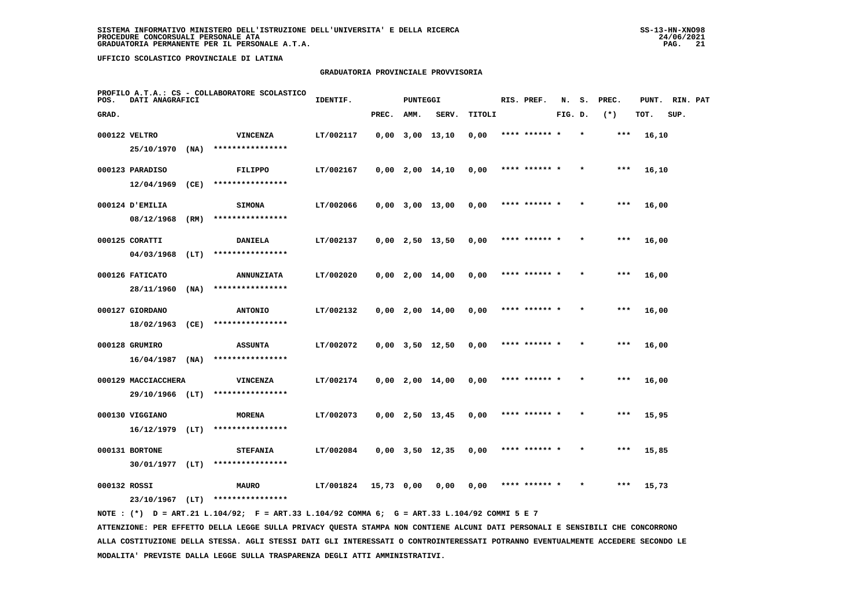# **GRADUATORIA PROVINCIALE PROVVISORIA**

| POS.         | DATI ANAGRAFICI              |      | PROFILO A.T.A.: CS - COLLABORATORE SCOLASTICO | IDENTIF.  |            | PUNTEGGI |                       |        | RIS. PREF.    | N.      | s.      | PREC. | PUNT. | RIN. PAT |  |
|--------------|------------------------------|------|-----------------------------------------------|-----------|------------|----------|-----------------------|--------|---------------|---------|---------|-------|-------|----------|--|
| GRAD.        |                              |      |                                               |           | PREC.      | AMM.     | SERV.                 | TITOLI |               | FIG. D. |         | $(*)$ | TOT.  | SUP.     |  |
|              | 000122 VELTRO                |      | VINCENZA                                      | LT/002117 |            |          | $0.00$ $3.00$ $13.10$ | 0,00   | **** ******   |         |         | $***$ | 16,10 |          |  |
|              | $25/10/1970$ (NA)            |      | ****************                              |           |            |          |                       |        |               |         |         |       |       |          |  |
|              | 000123 PARADISO              |      | FILIPPO                                       | LT/002167 |            |          | $0,00$ 2,00 14,10     | 0,00   | **** ****** * |         |         | $***$ | 16,10 |          |  |
|              | 12/04/1969                   | (CE) | ****************                              |           |            |          |                       |        |               |         |         |       |       |          |  |
|              | 000124 D'EMILIA              |      | <b>SIMONA</b>                                 | LT/002066 |            |          | $0,00$ $3,00$ $13,00$ | 0,00   | **** ****** * |         | $\star$ | $***$ | 16,00 |          |  |
|              | 08/12/1968                   | (RM) | ****************                              |           |            |          |                       |        |               |         |         |       |       |          |  |
|              | 000125 CORATTI               |      | <b>DANIELA</b>                                | LT/002137 |            |          | $0,00$ 2,50 13,50     | 0,00   | **** ****** * |         |         | $***$ | 16,00 |          |  |
|              | 04/03/1968                   | (LT) | ****************                              |           |            |          |                       |        |               |         |         |       |       |          |  |
|              | 000126 FATICATO              |      | <b>ANNUNZIATA</b>                             | LT/002020 |            |          | $0,00$ 2,00 14,00     | 0,00   | **** ****** * |         |         | $***$ | 16,00 |          |  |
|              | 28/11/1960                   | (NA) | ****************                              |           |            |          |                       |        |               |         |         |       |       |          |  |
|              | 000127 GIORDANO              |      | <b>ANTONIO</b>                                | LT/002132 |            |          | $0,00$ 2,00 14,00     | 0,00   | **** ****** * |         | $\star$ | ***   | 16,00 |          |  |
|              | 18/02/1963                   | (CE) | ****************                              |           |            |          |                       |        |               |         |         |       |       |          |  |
|              | 000128 GRUMIRO               |      | <b>ASSUNTA</b>                                | LT/002072 |            |          | $0,00$ $3,50$ $12,50$ | 0,00   |               |         |         | ***   | 16,00 |          |  |
|              | $16/04/1987$ (NA)            |      | ****************                              |           |            |          |                       |        |               |         |         |       |       |          |  |
|              | 000129 MACCIACCHERA          |      | <b>VINCENZA</b>                               | LT/002174 |            |          | $0,00$ 2,00 14,00     | 0,00   | **** ****** * |         |         | ***   | 16,00 |          |  |
|              | 29/10/1966 (LT)              |      | ****************                              |           |            |          |                       |        |               |         |         |       |       |          |  |
|              | 000130 VIGGIANO              |      | <b>MORENA</b><br>****************             | LT/002073 |            |          | $0,00$ 2,50 13,45     | 0,00   | **** ****** * |         | $\star$ | ***   | 15,95 |          |  |
|              | 16/12/1979                   | (LT) |                                               |           |            |          |                       |        |               |         |         |       |       |          |  |
|              | 000131 BORTONE<br>30/01/1977 | (LT) | STEFANIA<br>****************                  | LT/002084 |            |          | $0,00$ $3,50$ $12,35$ | 0,00   | **** ****** * |         |         | $***$ | 15,85 |          |  |
|              |                              |      |                                               |           |            |          |                       |        |               |         |         |       |       |          |  |
| 000132 ROSSI | 23/10/1967                   | (LT) | <b>MAURO</b><br>****************              | LT/001824 | 15,73 0,00 |          | 0,00                  | 0,00   |               |         |         | $***$ | 15,73 |          |  |
|              |                              |      |                                               |           |            |          |                       |        |               |         |         |       |       |          |  |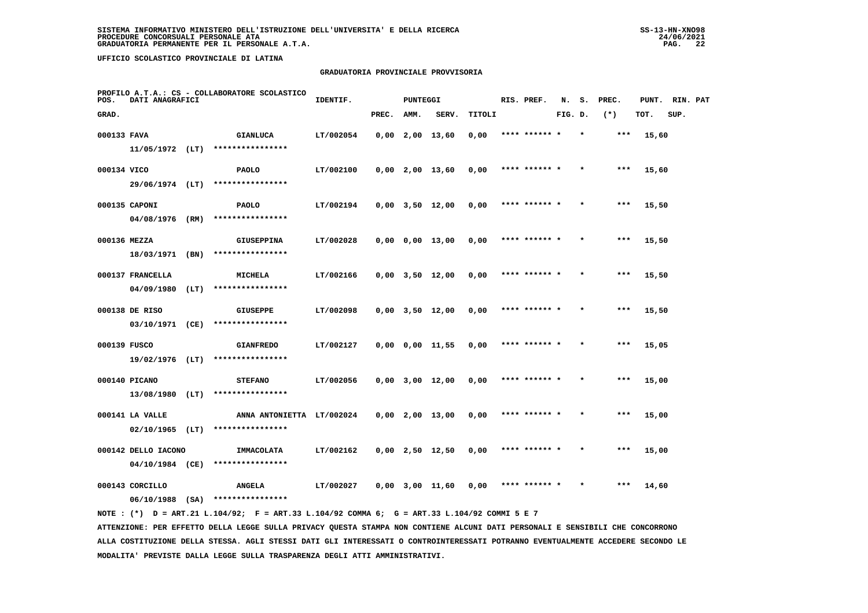# **GRADUATORIA PROVINCIALE PROVVISORIA**

| POS.         | DATI ANAGRAFICI     | PROFILO A.T.A.: CS - COLLABORATORE SCOLASTICO                                               | IDENTIF.  |            | <b>PUNTEGGI</b> |                         |        | RIS. PREF.    | N.      | s.      | PREC. | PUNT. RIN. PAT |      |  |
|--------------|---------------------|---------------------------------------------------------------------------------------------|-----------|------------|-----------------|-------------------------|--------|---------------|---------|---------|-------|----------------|------|--|
| GRAD.        |                     |                                                                                             |           | PREC. AMM. |                 | SERV.                   | TITOLI |               | FIG. D. |         | $(*)$ | TOT.           | SUP. |  |
| 000133 FAVA  |                     | <b>GIANLUCA</b>                                                                             | LT/002054 |            |                 | $0,00$ 2,00 13,60       | 0,00   | **** ****** * |         | $\star$ | $***$ | 15,60          |      |  |
|              | $11/05/1972$ (LT)   | ****************                                                                            |           |            |                 |                         |        |               |         |         |       |                |      |  |
| 000134 VICO  |                     | <b>PAOLO</b>                                                                                | LT/002100 |            |                 | $0,00$ 2,00 13,60       | 0,00   | **** ****** * |         |         | ***   | 15,60          |      |  |
|              |                     | 29/06/1974 (LT) ****************                                                            |           |            |                 |                         |        |               |         |         |       |                |      |  |
|              | 000135 CAPONI       | <b>PAOLO</b>                                                                                | LT/002194 |            |                 | $0.00$ $3.50$ $12.00$   | 0,00   | **** ****** * |         |         | ***   | 15,50          |      |  |
|              | 04/08/1976 (RM)     | ****************                                                                            |           |            |                 |                         |        |               |         |         |       |                |      |  |
| 000136 MEZZA |                     | <b>GIUSEPPINA</b>                                                                           | LT/002028 |            |                 | $0.00 \t 0.00 \t 13.00$ | 0,00   | **** ****** * |         |         | ***   | 15,50          |      |  |
|              | 18/03/1971 (BN)     | ****************                                                                            |           |            |                 |                         |        |               |         |         |       |                |      |  |
|              | 000137 FRANCELLA    | <b>MICHELA</b>                                                                              | LT/002166 |            |                 | $0,00$ $3,50$ $12,00$   | 0,00   | **** ****** * |         |         | ***   | 15,50          |      |  |
|              |                     | $04/09/1980$ (LT) *****************                                                         |           |            |                 |                         |        |               |         |         |       |                |      |  |
|              | 000138 DE RISO      | GIUSEPPE                                                                                    | LT/002098 |            |                 | $0,00$ $3,50$ $12,00$   | 0,00   | **** ****** * |         |         | ***   | 15,50          |      |  |
|              | 03/10/1971 (CE)     | ****************                                                                            |           |            |                 |                         |        |               |         |         |       |                |      |  |
| 000139 FUSCO |                     | <b>GIANFREDO</b>                                                                            | LT/002127 |            |                 | $0,00$ $0,00$ $11,55$   | 0,00   | **** ****** * |         |         | $***$ | 15,05          |      |  |
|              |                     | 19/02/1976 (LT) ****************                                                            |           |            |                 |                         |        |               |         |         |       |                |      |  |
|              | 000140 PICANO       | <b>STEFANO</b>                                                                              | LT/002056 |            |                 | $0,00$ $3,00$ $12,00$   | 0,00   | **** ****** * |         |         | ***   | 15,00          |      |  |
|              | $13/08/1980$ (LT)   | ****************                                                                            |           |            |                 |                         |        |               |         |         |       |                |      |  |
|              | 000141 LA VALLE     | ANNA ANTONIETTA LT/002024                                                                   |           |            |                 | $0,00$ 2,00 13,00       | 0,00   | **** ****** * |         |         | ***   | 15,00          |      |  |
|              | $02/10/1965$ (LT)   | ****************                                                                            |           |            |                 |                         |        |               |         |         |       |                |      |  |
|              | 000142 DELLO IACONO | IMMACOLATA                                                                                  | LT/002162 |            |                 | $0,00$ 2,50 12,50       | 0,00   | **** ****** * |         |         | ***   | 15,00          |      |  |
|              | 04/10/1984 (CE)     | ****************                                                                            |           |            |                 |                         |        |               |         |         |       |                |      |  |
|              | 000143 CORCILLO     | <b>ANGELA</b>                                                                               | LT/002027 |            |                 | 0,00 3,00 11,60         | 0,00   | **** ****** * |         |         | ***   | 14,60          |      |  |
|              |                     | $06/10/1988$ (SA) ****************                                                          |           |            |                 |                         |        |               |         |         |       |                |      |  |
|              |                     | NOTE: (*) D = ART.21 L.104/92; F = ART.33 L.104/92 COMMA 6; G = ART.33 L.104/92 COMMI 5 E 7 |           |            |                 |                         |        |               |         |         |       |                |      |  |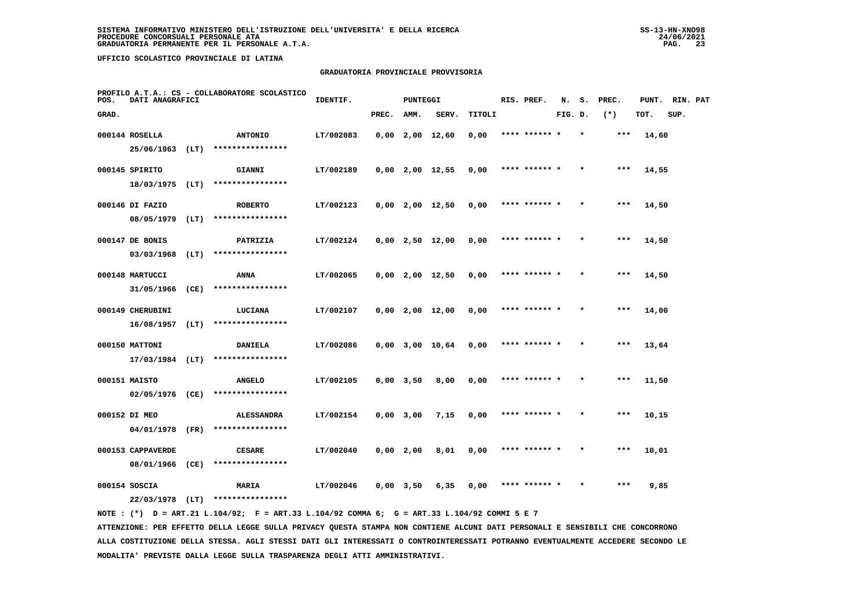# **GRADUATORIA PROVINCIALE PROVVISORIA**

| POS.  | DATI ANAGRAFICI   |      | PROFILO A.T.A.: CS - COLLABORATORE SCOLASTICO | IDENTIF.  |             | PUNTEGGI    |                       |        | RIS. PREF.    | N.      | s.      | PREC. | PUNT. | RIN. PAT |  |
|-------|-------------------|------|-----------------------------------------------|-----------|-------------|-------------|-----------------------|--------|---------------|---------|---------|-------|-------|----------|--|
| GRAD. |                   |      |                                               |           | PREC.       | AMM.        | SERV.                 | TITOLI |               | FIG. D. |         | $(*)$ | TOT.  | SUP.     |  |
|       | 000144 ROSELLA    |      | <b>ANTONIO</b>                                | LT/002083 |             |             | $0,00$ 2,00 12,60     | 0,00   | **** ****** * |         |         | $***$ | 14,60 |          |  |
|       | $25/06/1963$ (LT) |      | ****************                              |           |             |             |                       |        |               |         |         |       |       |          |  |
|       | 000145 SPIRITO    |      | GIANNI                                        | LT/002189 |             |             | $0,00$ 2,00 12,55     | 0,00   | **** ****** * |         |         | ***   | 14,55 |          |  |
|       | $18/03/1975$ (LT) |      | ****************                              |           |             |             |                       |        |               |         |         |       |       |          |  |
|       | 000146 DI FAZIO   |      | <b>ROBERTO</b>                                | LT/002123 |             |             | $0,00$ 2,00 12,50     | 0,00   | **** ****** * |         | $\star$ | ***   | 14,50 |          |  |
|       | 08/05/1979        | (LT) | ****************                              |           |             |             |                       |        |               |         |         |       |       |          |  |
|       | 000147 DE BONIS   |      | PATRIZIA                                      | LT/002124 |             |             | $0,00$ 2,50 12,00     | 0,00   | **** ****** * |         |         | $***$ | 14,50 |          |  |
|       | 03/03/1968        | (LT) | ****************                              |           |             |             |                       |        |               |         |         |       |       |          |  |
|       | 000148 MARTUCCI   |      | ANNA                                          | LT/002065 |             |             | $0,00$ 2,00 12,50     | 0,00   | **** ****** * |         | $\star$ | $***$ | 14,50 |          |  |
|       | 31/05/1966 (CE)   |      | ****************                              |           |             |             |                       |        |               |         |         |       |       |          |  |
|       | 000149 CHERUBINI  |      | LUCIANA                                       | LT/002107 |             |             | $0,00$ 2,00 12,00     | 0,00   | **** ****** * |         | $\star$ | $***$ | 14,00 |          |  |
|       | 16/08/1957        | (LT) | ****************                              |           |             |             |                       |        |               |         |         |       |       |          |  |
|       | 000150 MATTONI    |      | <b>DANIELA</b>                                | LT/002086 |             |             | $0,00$ $3,00$ $10,64$ | 0,00   | **** ****** * |         |         | $***$ | 13,64 |          |  |
|       | 17/03/1984 (LT)   |      | ****************                              |           |             |             |                       |        |               |         |         |       |       |          |  |
|       | 000151 MAISTO     |      | <b>ANGELO</b>                                 | LT/002105 |             | $0,00$ 3,50 | 8,00                  | 0,00   | **** ****** * |         |         | $***$ | 11,50 |          |  |
|       | 02/05/1976 (CE)   |      | ****************                              |           |             |             |                       |        |               |         |         |       |       |          |  |
|       | 000152 DI MEO     |      | <b>ALESSANDRA</b>                             | LT/002154 |             | $0,00$ 3,00 | 7,15                  | 0,00   | **** ****** * |         |         | $***$ | 10,15 |          |  |
|       | 04/01/1978 (FR)   |      | ****************                              |           |             |             |                       |        |               |         |         |       |       |          |  |
|       | 000153 CAPPAVERDE |      | <b>CESARE</b>                                 | LT/002040 | $0,00$ 2,00 |             | 8,01                  | 0,00   | **** ****** * |         |         | $***$ | 10,01 |          |  |
|       | 08/01/1966 (CE)   |      | ****************                              |           |             |             |                       |        |               |         |         |       |       |          |  |
|       | 000154 SOSCIA     |      | <b>MARIA</b>                                  | LT/002046 |             | $0,00$ 3,50 | 6,35                  | 0,00   | **** ******   |         |         | ***   | 9,85  |          |  |
|       | $22/03/1978$ (LT) |      | ****************                              |           |             |             |                       |        |               |         |         |       |       |          |  |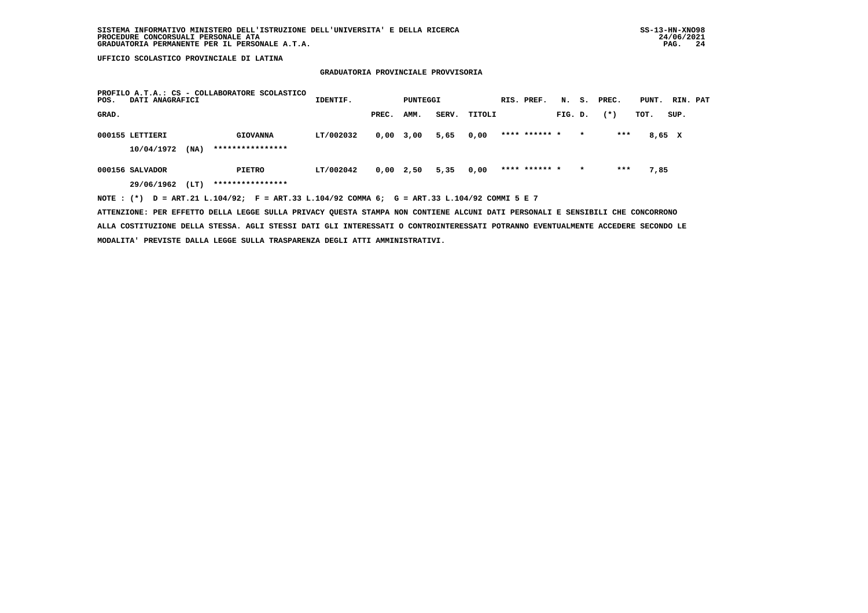# **GRADUATORIA PROVINCIALE PROVVISORIA**

| PROFILO A.T.A.: CS - COLLABORATORE SCOLASTICO<br>DATI ANAGRAFICI<br>POS.                    | IDENTIF.  |       | PUNTEGGI    |       |        | RIS. PREF.    | N.      |         | S. PREC. | PUNT. RIN. PAT |      |  |
|---------------------------------------------------------------------------------------------|-----------|-------|-------------|-------|--------|---------------|---------|---------|----------|----------------|------|--|
| GRAD.                                                                                       |           | PREC. | AMM.        | SERV. | TITOLI |               | FIG. D. |         | $(* )$   | TOT.           | SUP. |  |
| 000155 LETTIERI<br><b>GIOVANNA</b>                                                          | LT/002032 |       | $0,00$ 3,00 | 5,65  | 0,00   | **** ****** * |         | $\star$ | ***      | 8,65 X         |      |  |
| ****************<br>10/04/1972<br>(MA)                                                      |           |       |             |       |        |               |         |         |          |                |      |  |
| 000156 SALVADOR<br>PIETRO                                                                   | LT/002042 |       | 0,00 2,50   | 5,35  | 0,00   | **** ****** * |         | $\star$ | ***      | 7,85           |      |  |
| ****************<br>29/06/1962<br>(LT)                                                      |           |       |             |       |        |               |         |         |          |                |      |  |
| NOTE: (*) D = ART.21 L.104/92; F = ART.33 L.104/92 COMMA 6; G = ART.33 L.104/92 COMMI 5 E 7 |           |       |             |       |        |               |         |         |          |                |      |  |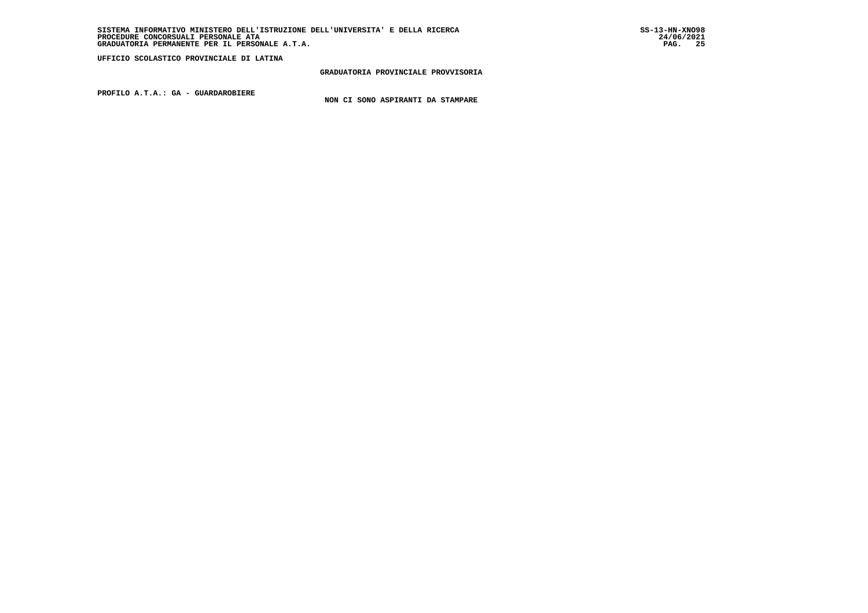#### **GRADUATORIA PROVINCIALE PROVVISORIA**

 **PROFILO A.T.A.: GA - GUARDAROBIERE**

 **NON CI SONO ASPIRANTI DA STAMPARE**